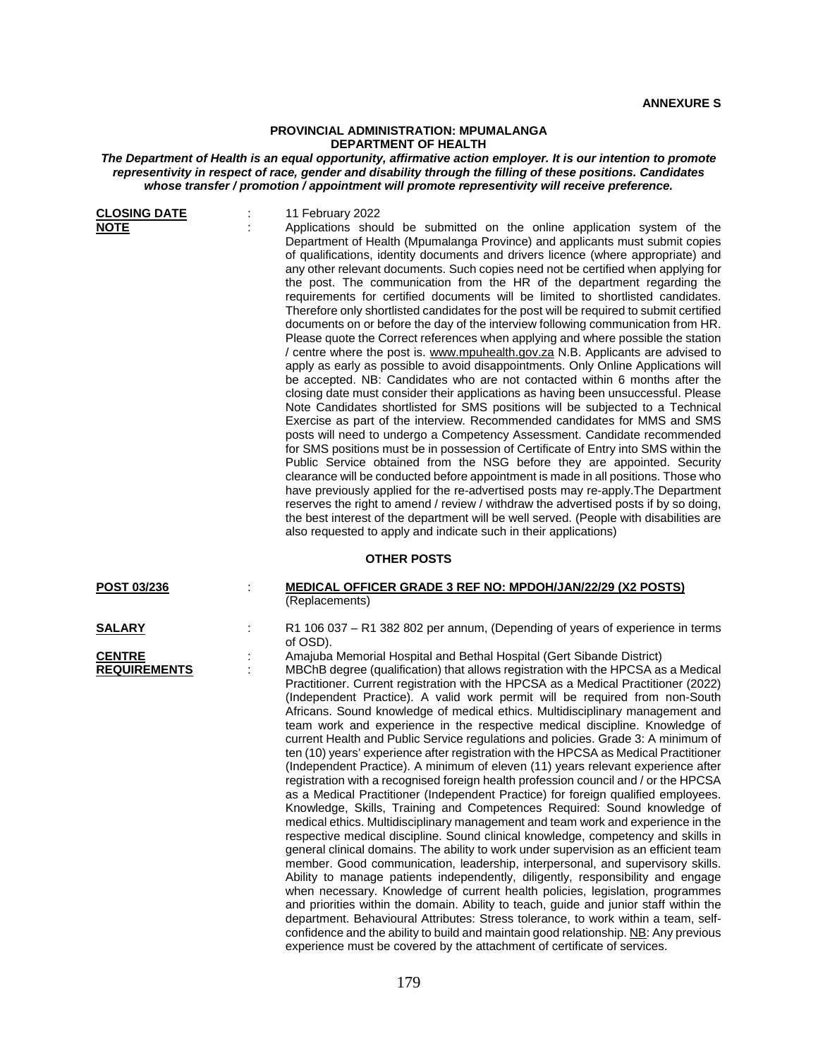## **PROVINCIAL ADMINISTRATION: MPUMALANGA DEPARTMENT OF HEALTH**

## *The Department of Health is an equal opportunity, affirmative action employer. It is our intention to promote representivity in respect of race, gender and disability through the filling of these positions. Candidates whose transfer / promotion / appointment will promote representivity will receive preference.*

| <b>CLOSING DATE</b><br><b>NOTE</b>                    | 11 February 2022<br>Applications should be submitted on the online application system of the<br>Department of Health (Mpumalanga Province) and applicants must submit copies<br>of qualifications, identity documents and drivers licence (where appropriate) and<br>any other relevant documents. Such copies need not be certified when applying for<br>the post. The communication from the HR of the department regarding the<br>requirements for certified documents will be limited to shortlisted candidates.<br>Therefore only shortlisted candidates for the post will be required to submit certified<br>documents on or before the day of the interview following communication from HR.<br>Please quote the Correct references when applying and where possible the station<br>/ centre where the post is. www.mpuhealth.gov.za N.B. Applicants are advised to<br>apply as early as possible to avoid disappointments. Only Online Applications will<br>be accepted. NB: Candidates who are not contacted within 6 months after the<br>closing date must consider their applications as having been unsuccessful. Please<br>Note Candidates shortlisted for SMS positions will be subjected to a Technical<br>Exercise as part of the interview. Recommended candidates for MMS and SMS<br>posts will need to undergo a Competency Assessment. Candidate recommended<br>for SMS positions must be in possession of Certificate of Entry into SMS within the<br>Public Service obtained from the NSG before they are appointed. Security<br>clearance will be conducted before appointment is made in all positions. Those who<br>have previously applied for the re-advertised posts may re-apply. The Department<br>reserves the right to amend / review / withdraw the advertised posts if by so doing,<br>the best interest of the department will be well served. (People with disabilities are<br>also requested to apply and indicate such in their applications) |
|-------------------------------------------------------|-------------------------------------------------------------------------------------------------------------------------------------------------------------------------------------------------------------------------------------------------------------------------------------------------------------------------------------------------------------------------------------------------------------------------------------------------------------------------------------------------------------------------------------------------------------------------------------------------------------------------------------------------------------------------------------------------------------------------------------------------------------------------------------------------------------------------------------------------------------------------------------------------------------------------------------------------------------------------------------------------------------------------------------------------------------------------------------------------------------------------------------------------------------------------------------------------------------------------------------------------------------------------------------------------------------------------------------------------------------------------------------------------------------------------------------------------------------------------------------------------------------------------------------------------------------------------------------------------------------------------------------------------------------------------------------------------------------------------------------------------------------------------------------------------------------------------------------------------------------------------------------------------------------------------------------------------------------------------------------|
|                                                       | <b>OTHER POSTS</b>                                                                                                                                                                                                                                                                                                                                                                                                                                                                                                                                                                                                                                                                                                                                                                                                                                                                                                                                                                                                                                                                                                                                                                                                                                                                                                                                                                                                                                                                                                                                                                                                                                                                                                                                                                                                                                                                                                                                                                  |
| POST 03/236                                           | <b>MEDICAL OFFICER GRADE 3 REF NO: MPDOH/JAN/22/29 (X2 POSTS)</b><br>(Replacements)                                                                                                                                                                                                                                                                                                                                                                                                                                                                                                                                                                                                                                                                                                                                                                                                                                                                                                                                                                                                                                                                                                                                                                                                                                                                                                                                                                                                                                                                                                                                                                                                                                                                                                                                                                                                                                                                                                 |
| <b>SALARY</b><br><b>CENTRE</b><br><b>REQUIREMENTS</b> | R1 106 037 - R1 382 802 per annum, (Depending of years of experience in terms<br>of OSD).<br>Amajuba Memorial Hospital and Bethal Hospital (Gert Sibande District)<br>MBChB degree (qualification) that allows registration with the HPCSA as a Medical<br>Practitioner. Current registration with the HPCSA as a Medical Practitioner (2022)<br>(Independent Practice). A valid work permit will be required from non-South<br>Africans. Sound knowledge of medical ethics. Multidisciplinary management and<br>team work and experience in the respective medical discipline. Knowledge of<br>current Health and Public Service regulations and policies. Grade 3: A minimum of<br>ten (10) years' experience after registration with the HPCSA as Medical Practitioner<br>(Independent Practice). A minimum of eleven (11) years relevant experience after<br>registration with a recognised foreign health profession council and / or the HPCSA<br>as a Medical Practitioner (Independent Practice) for foreign qualified employees.<br>Knowledge, Skills, Training and Competences Required: Sound knowledge of<br>medical ethics. Multidisciplinary management and team work and experience in the<br>respective medical discipline. Sound clinical knowledge, competency and skills in<br>general clinical domains. The ability to work under supervision as an efficient team<br>member. Good communication, leadership, interpersonal, and supervisory skills.<br>Ability to manage patients independently, diligently, responsibility and engage<br>when necessary. Knowledge of current health policies, legislation, programmes<br>and priorities within the domain. Ability to teach, guide and junior staff within the<br>department. Behavioural Attributes: Stress tolerance, to work within a team, self-<br>confidence and the ability to build and maintain good relationship. NB: Any previous                                                                 |

experience must be covered by the attachment of certificate of services.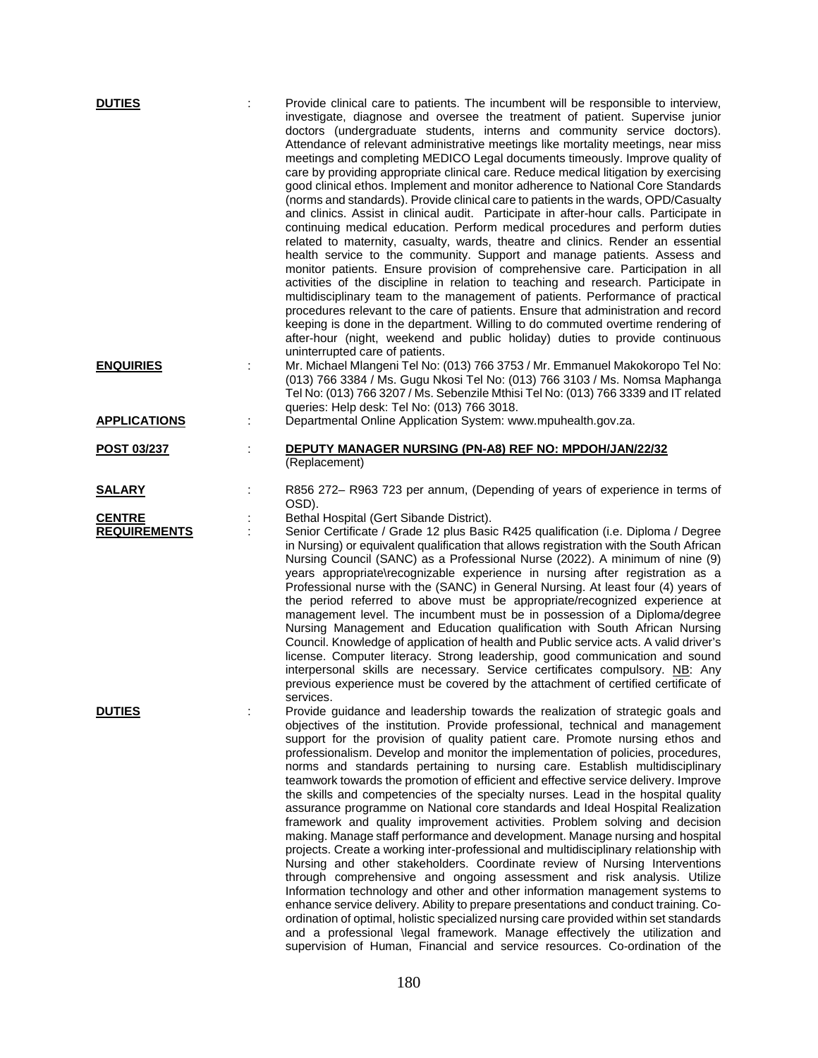| <b>DUTIES</b>                        | Provide clinical care to patients. The incumbent will be responsible to interview,<br>investigate, diagnose and oversee the treatment of patient. Supervise junior<br>doctors (undergraduate students, interns and community service doctors).<br>Attendance of relevant administrative meetings like mortality meetings, near miss<br>meetings and completing MEDICO Legal documents timeously. Improve quality of<br>care by providing appropriate clinical care. Reduce medical litigation by exercising<br>good clinical ethos. Implement and monitor adherence to National Core Standards<br>(norms and standards). Provide clinical care to patients in the wards, OPD/Casualty<br>and clinics. Assist in clinical audit. Participate in after-hour calls. Participate in<br>continuing medical education. Perform medical procedures and perform duties<br>related to maternity, casualty, wards, theatre and clinics. Render an essential<br>health service to the community. Support and manage patients. Assess and<br>monitor patients. Ensure provision of comprehensive care. Participation in all<br>activities of the discipline in relation to teaching and research. Participate in<br>multidisciplinary team to the management of patients. Performance of practical<br>procedures relevant to the care of patients. Ensure that administration and record<br>keeping is done in the department. Willing to do commuted overtime rendering of<br>after-hour (night, weekend and public holiday) duties to provide continuous |
|--------------------------------------|------------------------------------------------------------------------------------------------------------------------------------------------------------------------------------------------------------------------------------------------------------------------------------------------------------------------------------------------------------------------------------------------------------------------------------------------------------------------------------------------------------------------------------------------------------------------------------------------------------------------------------------------------------------------------------------------------------------------------------------------------------------------------------------------------------------------------------------------------------------------------------------------------------------------------------------------------------------------------------------------------------------------------------------------------------------------------------------------------------------------------------------------------------------------------------------------------------------------------------------------------------------------------------------------------------------------------------------------------------------------------------------------------------------------------------------------------------------------------------------------------------------------------------------------|
| <b>ENQUIRIES</b>                     | uninterrupted care of patients.<br>Mr. Michael Mlangeni Tel No: (013) 766 3753 / Mr. Emmanuel Makokoropo Tel No:<br>(013) 766 3384 / Ms. Gugu Nkosi Tel No: (013) 766 3103 / Ms. Nomsa Maphanga<br>Tel No: (013) 766 3207 / Ms. Sebenzile Mthisi Tel No: (013) 766 3339 and IT related<br>queries: Help desk: Tel No: (013) 766 3018.                                                                                                                                                                                                                                                                                                                                                                                                                                                                                                                                                                                                                                                                                                                                                                                                                                                                                                                                                                                                                                                                                                                                                                                                          |
| <b>APPLICATIONS</b>                  | Departmental Online Application System: www.mpuhealth.gov.za.                                                                                                                                                                                                                                                                                                                                                                                                                                                                                                                                                                                                                                                                                                                                                                                                                                                                                                                                                                                                                                                                                                                                                                                                                                                                                                                                                                                                                                                                                  |
| POST 03/237                          | DEPUTY MANAGER NURSING (PN-A8) REF NO: MPDOH/JAN/22/32<br>(Replacement)                                                                                                                                                                                                                                                                                                                                                                                                                                                                                                                                                                                                                                                                                                                                                                                                                                                                                                                                                                                                                                                                                                                                                                                                                                                                                                                                                                                                                                                                        |
| <b>SALARY</b>                        | R856 272- R963 723 per annum, (Depending of years of experience in terms of<br>OSD).                                                                                                                                                                                                                                                                                                                                                                                                                                                                                                                                                                                                                                                                                                                                                                                                                                                                                                                                                                                                                                                                                                                                                                                                                                                                                                                                                                                                                                                           |
| <b>CENTRE</b><br><b>REQUIREMENTS</b> | Bethal Hospital (Gert Sibande District).<br>Senior Certificate / Grade 12 plus Basic R425 qualification (i.e. Diploma / Degree<br>in Nursing) or equivalent qualification that allows registration with the South African<br>Nursing Council (SANC) as a Professional Nurse (2022). A minimum of nine (9)<br>years appropriate\recognizable experience in nursing after registration as a<br>Professional nurse with the (SANC) in General Nursing. At least four (4) years of<br>the period referred to above must be appropriate/recognized experience at<br>management level. The incumbent must be in possession of a Diploma/degree<br>Nursing Management and Education qualification with South African Nursing<br>Council. Knowledge of application of health and Public service acts. A valid driver's<br>license. Computer literacy. Strong leadership, good communication and sound<br>interpersonal skills are necessary. Service certificates compulsory. NB: Any<br>previous experience must be covered by the attachment of certified certificate of<br>services.                                                                                                                                                                                                                                                                                                                                                                                                                                                                |
| <b>DUTIES</b>                        | Provide guidance and leadership towards the realization of strategic goals and<br>objectives of the institution. Provide professional, technical and management<br>support for the provision of quality patient care. Promote nursing ethos and<br>professionalism. Develop and monitor the implementation of policies, procedures,<br>norms and standards pertaining to nursing care. Establish multidisciplinary<br>teamwork towards the promotion of efficient and effective service delivery. Improve<br>the skills and competencies of the specialty nurses. Lead in the hospital quality<br>assurance programme on National core standards and Ideal Hospital Realization<br>framework and quality improvement activities. Problem solving and decision<br>making. Manage staff performance and development. Manage nursing and hospital<br>projects. Create a working inter-professional and multidisciplinary relationship with<br>Nursing and other stakeholders. Coordinate review of Nursing Interventions<br>through comprehensive and ongoing assessment and risk analysis. Utilize<br>Information technology and other and other information management systems to<br>enhance service delivery. Ability to prepare presentations and conduct training. Co-<br>ordination of optimal, holistic specialized nursing care provided within set standards<br>and a professional \legal framework. Manage effectively the utilization and<br>supervision of Human, Financial and service resources. Co-ordination of the               |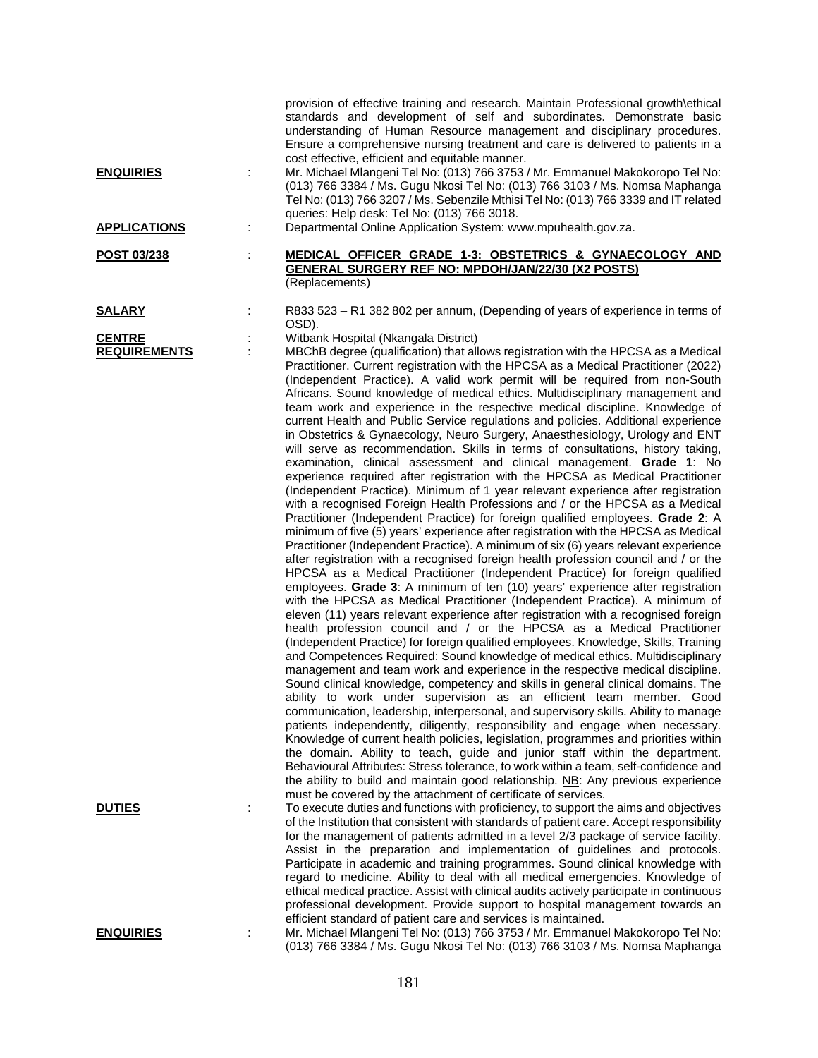| <b>ENQUIRIES</b>                     | ÷ | provision of effective training and research. Maintain Professional growth\ethical<br>standards and development of self and subordinates. Demonstrate basic<br>understanding of Human Resource management and disciplinary procedures.<br>Ensure a comprehensive nursing treatment and care is delivered to patients in a<br>cost effective, efficient and equitable manner.<br>Mr. Michael Mlangeni Tel No: (013) 766 3753 / Mr. Emmanuel Makokoropo Tel No:<br>(013) 766 3384 / Ms. Gugu Nkosi Tel No: (013) 766 3103 / Ms. Nomsa Maphanga                                                                                                                                                                                                                                                                                                                                                                                                                                                                                                                                                                                                                                                                                                                                                                                                                                                                                                                                                                                                                                                                                                                                                                                                                                                                                                                                                                                                                                                                                                                                                                                                                                                                                                                                                                                                                                                                                                                                                                                                                                                                                                                                                                                                                                                                                                 |
|--------------------------------------|---|----------------------------------------------------------------------------------------------------------------------------------------------------------------------------------------------------------------------------------------------------------------------------------------------------------------------------------------------------------------------------------------------------------------------------------------------------------------------------------------------------------------------------------------------------------------------------------------------------------------------------------------------------------------------------------------------------------------------------------------------------------------------------------------------------------------------------------------------------------------------------------------------------------------------------------------------------------------------------------------------------------------------------------------------------------------------------------------------------------------------------------------------------------------------------------------------------------------------------------------------------------------------------------------------------------------------------------------------------------------------------------------------------------------------------------------------------------------------------------------------------------------------------------------------------------------------------------------------------------------------------------------------------------------------------------------------------------------------------------------------------------------------------------------------------------------------------------------------------------------------------------------------------------------------------------------------------------------------------------------------------------------------------------------------------------------------------------------------------------------------------------------------------------------------------------------------------------------------------------------------------------------------------------------------------------------------------------------------------------------------------------------------------------------------------------------------------------------------------------------------------------------------------------------------------------------------------------------------------------------------------------------------------------------------------------------------------------------------------------------------------------------------------------------------------------------------------------------------|
| <b>APPLICATIONS</b>                  | ÷ | Tel No: (013) 766 3207 / Ms. Sebenzile Mthisi Tel No: (013) 766 3339 and IT related<br>queries: Help desk: Tel No: (013) 766 3018.<br>Departmental Online Application System: www.mpuhealth.gov.za.                                                                                                                                                                                                                                                                                                                                                                                                                                                                                                                                                                                                                                                                                                                                                                                                                                                                                                                                                                                                                                                                                                                                                                                                                                                                                                                                                                                                                                                                                                                                                                                                                                                                                                                                                                                                                                                                                                                                                                                                                                                                                                                                                                                                                                                                                                                                                                                                                                                                                                                                                                                                                                          |
|                                      |   |                                                                                                                                                                                                                                                                                                                                                                                                                                                                                                                                                                                                                                                                                                                                                                                                                                                                                                                                                                                                                                                                                                                                                                                                                                                                                                                                                                                                                                                                                                                                                                                                                                                                                                                                                                                                                                                                                                                                                                                                                                                                                                                                                                                                                                                                                                                                                                                                                                                                                                                                                                                                                                                                                                                                                                                                                                              |
| POST 03/238                          | t | MEDICAL OFFICER GRADE 1-3: OBSTETRICS & GYNAECOLOGY AND<br><b>GENERAL SURGERY REF NO: MPDOH/JAN/22/30 (X2 POSTS)</b><br>(Replacements)                                                                                                                                                                                                                                                                                                                                                                                                                                                                                                                                                                                                                                                                                                                                                                                                                                                                                                                                                                                                                                                                                                                                                                                                                                                                                                                                                                                                                                                                                                                                                                                                                                                                                                                                                                                                                                                                                                                                                                                                                                                                                                                                                                                                                                                                                                                                                                                                                                                                                                                                                                                                                                                                                                       |
| <u>SALARY</u>                        |   | R833 523 - R1 382 802 per annum, (Depending of years of experience in terms of<br>OSD).                                                                                                                                                                                                                                                                                                                                                                                                                                                                                                                                                                                                                                                                                                                                                                                                                                                                                                                                                                                                                                                                                                                                                                                                                                                                                                                                                                                                                                                                                                                                                                                                                                                                                                                                                                                                                                                                                                                                                                                                                                                                                                                                                                                                                                                                                                                                                                                                                                                                                                                                                                                                                                                                                                                                                      |
| <b>CENTRE</b><br><b>REQUIREMENTS</b> |   | Witbank Hospital (Nkangala District)<br>MBChB degree (qualification) that allows registration with the HPCSA as a Medical<br>Practitioner. Current registration with the HPCSA as a Medical Practitioner (2022)<br>(Independent Practice). A valid work permit will be required from non-South<br>Africans. Sound knowledge of medical ethics. Multidisciplinary management and<br>team work and experience in the respective medical discipline. Knowledge of<br>current Health and Public Service regulations and policies. Additional experience<br>in Obstetrics & Gynaecology, Neuro Surgery, Anaesthesiology, Urology and ENT<br>will serve as recommendation. Skills in terms of consultations, history taking,<br>examination, clinical assessment and clinical management. Grade 1: No<br>experience required after registration with the HPCSA as Medical Practitioner<br>(Independent Practice). Minimum of 1 year relevant experience after registration<br>with a recognised Foreign Health Professions and / or the HPCSA as a Medical<br>Practitioner (Independent Practice) for foreign qualified employees. Grade 2: A<br>minimum of five (5) years' experience after registration with the HPCSA as Medical<br>Practitioner (Independent Practice). A minimum of six (6) years relevant experience<br>after registration with a recognised foreign health profession council and / or the<br>HPCSA as a Medical Practitioner (Independent Practice) for foreign qualified<br>employees. Grade 3: A minimum of ten (10) years' experience after registration<br>with the HPCSA as Medical Practitioner (Independent Practice). A minimum of<br>eleven (11) years relevant experience after registration with a recognised foreign<br>health profession council and / or the HPCSA as a Medical Practitioner<br>(Independent Practice) for foreign qualified employees. Knowledge, Skills, Training<br>and Competences Required: Sound knowledge of medical ethics. Multidisciplinary<br>management and team work and experience in the respective medical discipline.<br>Sound clinical knowledge, competency and skills in general clinical domains. The<br>ability to work under supervision as an efficient team member. Good<br>communication, leadership, interpersonal, and supervisory skills. Ability to manage<br>patients independently, diligently, responsibility and engage when necessary.<br>Knowledge of current health policies, legislation, programmes and priorities within<br>the domain. Ability to teach, guide and junior staff within the department.<br>Behavioural Attributes: Stress tolerance, to work within a team, self-confidence and<br>the ability to build and maintain good relationship. NB: Any previous experience<br>must be covered by the attachment of certificate of services. |
| <b>DUTIES</b>                        | ÷ | To execute duties and functions with proficiency, to support the aims and objectives<br>of the Institution that consistent with standards of patient care. Accept responsibility<br>for the management of patients admitted in a level 2/3 package of service facility.<br>Assist in the preparation and implementation of guidelines and protocols.                                                                                                                                                                                                                                                                                                                                                                                                                                                                                                                                                                                                                                                                                                                                                                                                                                                                                                                                                                                                                                                                                                                                                                                                                                                                                                                                                                                                                                                                                                                                                                                                                                                                                                                                                                                                                                                                                                                                                                                                                                                                                                                                                                                                                                                                                                                                                                                                                                                                                         |
|                                      |   | Participate in academic and training programmes. Sound clinical knowledge with<br>regard to medicine. Ability to deal with all medical emergencies. Knowledge of<br>ethical medical practice. Assist with clinical audits actively participate in continuous<br>professional development. Provide support to hospital management towards an<br>efficient standard of patient care and services is maintained.                                                                                                                                                                                                                                                                                                                                                                                                                                                                                                                                                                                                                                                                                                                                                                                                                                                                                                                                                                                                                                                                                                                                                                                                                                                                                                                                                                                                                                                                                                                                                                                                                                                                                                                                                                                                                                                                                                                                                                                                                                                                                                                                                                                                                                                                                                                                                                                                                                |
| <b>ENQUIRIES</b>                     |   | Mr. Michael Mlangeni Tel No: (013) 766 3753 / Mr. Emmanuel Makokoropo Tel No:<br>(013) 766 3384 / Ms. Gugu Nkosi Tel No: (013) 766 3103 / Ms. Nomsa Maphanga                                                                                                                                                                                                                                                                                                                                                                                                                                                                                                                                                                                                                                                                                                                                                                                                                                                                                                                                                                                                                                                                                                                                                                                                                                                                                                                                                                                                                                                                                                                                                                                                                                                                                                                                                                                                                                                                                                                                                                                                                                                                                                                                                                                                                                                                                                                                                                                                                                                                                                                                                                                                                                                                                 |

181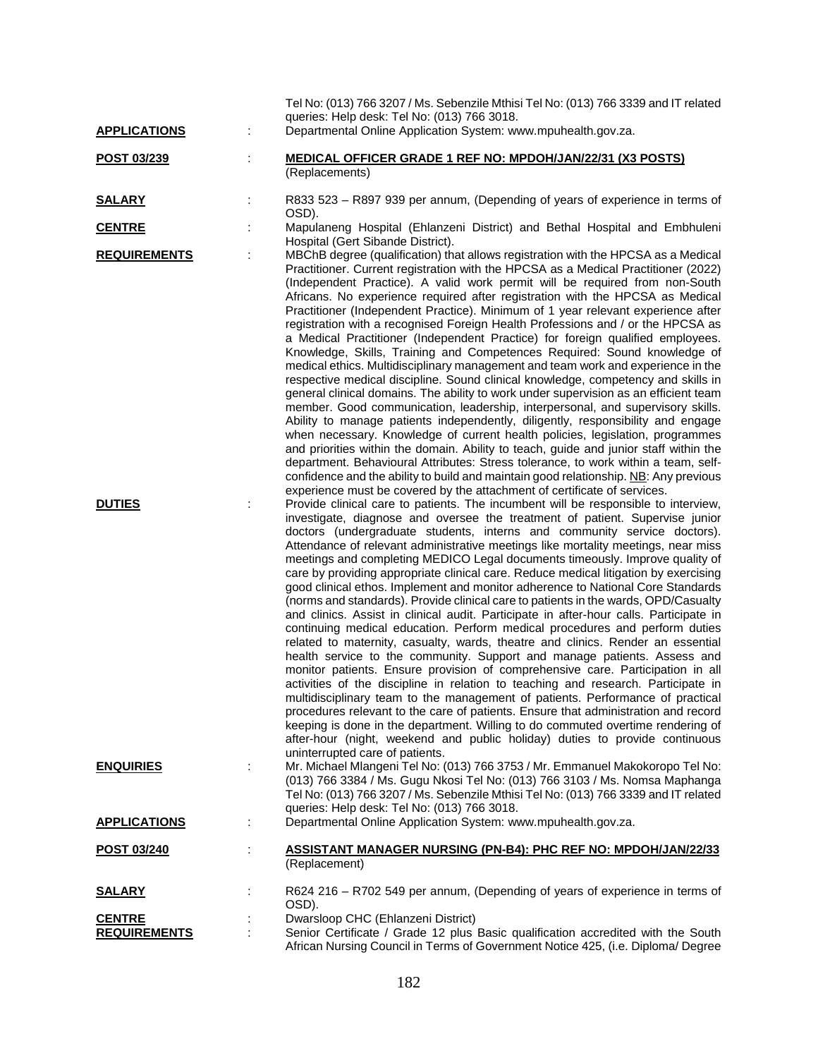| <b>APPLICATIONS</b>                  | Tel No: (013) 766 3207 / Ms. Sebenzile Mthisi Tel No: (013) 766 3339 and IT related<br>queries: Help desk: Tel No: (013) 766 3018.<br>Departmental Online Application System: www.mpuhealth.gov.za.                                                                                                                                                                                                                                                                                                                                                                                                                                                                                                                                                                                                                                                                                                                                                                                                                                                                                                                                                                                                                                                                                                                                                                                                                                                                                                                                                                                                                                                                                                                                                                                                                                                                                                                                                                                                                                                                                                                                                                                                                                                                                                                                                                                                                      |
|--------------------------------------|--------------------------------------------------------------------------------------------------------------------------------------------------------------------------------------------------------------------------------------------------------------------------------------------------------------------------------------------------------------------------------------------------------------------------------------------------------------------------------------------------------------------------------------------------------------------------------------------------------------------------------------------------------------------------------------------------------------------------------------------------------------------------------------------------------------------------------------------------------------------------------------------------------------------------------------------------------------------------------------------------------------------------------------------------------------------------------------------------------------------------------------------------------------------------------------------------------------------------------------------------------------------------------------------------------------------------------------------------------------------------------------------------------------------------------------------------------------------------------------------------------------------------------------------------------------------------------------------------------------------------------------------------------------------------------------------------------------------------------------------------------------------------------------------------------------------------------------------------------------------------------------------------------------------------------------------------------------------------------------------------------------------------------------------------------------------------------------------------------------------------------------------------------------------------------------------------------------------------------------------------------------------------------------------------------------------------------------------------------------------------------------------------------------------------|
| POST 03/239                          | <b>MEDICAL OFFICER GRADE 1 REF NO: MPDOH/JAN/22/31 (X3 POSTS)</b><br>(Replacements)                                                                                                                                                                                                                                                                                                                                                                                                                                                                                                                                                                                                                                                                                                                                                                                                                                                                                                                                                                                                                                                                                                                                                                                                                                                                                                                                                                                                                                                                                                                                                                                                                                                                                                                                                                                                                                                                                                                                                                                                                                                                                                                                                                                                                                                                                                                                      |
| <b>SALARY</b>                        | R833 523 - R897 939 per annum, (Depending of years of experience in terms of<br>OSD).                                                                                                                                                                                                                                                                                                                                                                                                                                                                                                                                                                                                                                                                                                                                                                                                                                                                                                                                                                                                                                                                                                                                                                                                                                                                                                                                                                                                                                                                                                                                                                                                                                                                                                                                                                                                                                                                                                                                                                                                                                                                                                                                                                                                                                                                                                                                    |
| <b>CENTRE</b>                        | Mapulaneng Hospital (Ehlanzeni District) and Bethal Hospital and Embhuleni<br>Hospital (Gert Sibande District).                                                                                                                                                                                                                                                                                                                                                                                                                                                                                                                                                                                                                                                                                                                                                                                                                                                                                                                                                                                                                                                                                                                                                                                                                                                                                                                                                                                                                                                                                                                                                                                                                                                                                                                                                                                                                                                                                                                                                                                                                                                                                                                                                                                                                                                                                                          |
| <b>REQUIREMENTS</b><br><b>DUTIES</b> | MBChB degree (qualification) that allows registration with the HPCSA as a Medical<br>Practitioner. Current registration with the HPCSA as a Medical Practitioner (2022)<br>(Independent Practice). A valid work permit will be required from non-South<br>Africans. No experience required after registration with the HPCSA as Medical<br>Practitioner (Independent Practice). Minimum of 1 year relevant experience after<br>registration with a recognised Foreign Health Professions and / or the HPCSA as<br>a Medical Practitioner (Independent Practice) for foreign qualified employees.<br>Knowledge, Skills, Training and Competences Required: Sound knowledge of<br>medical ethics. Multidisciplinary management and team work and experience in the<br>respective medical discipline. Sound clinical knowledge, competency and skills in<br>general clinical domains. The ability to work under supervision as an efficient team<br>member. Good communication, leadership, interpersonal, and supervisory skills.<br>Ability to manage patients independently, diligently, responsibility and engage<br>when necessary. Knowledge of current health policies, legislation, programmes<br>and priorities within the domain. Ability to teach, guide and junior staff within the<br>department. Behavioural Attributes: Stress tolerance, to work within a team, self-<br>confidence and the ability to build and maintain good relationship. NB: Any previous<br>experience must be covered by the attachment of certificate of services.<br>Provide clinical care to patients. The incumbent will be responsible to interview,<br>investigate, diagnose and oversee the treatment of patient. Supervise junior<br>doctors (undergraduate students, interns and community service doctors).<br>Attendance of relevant administrative meetings like mortality meetings, near miss<br>meetings and completing MEDICO Legal documents timeously. Improve quality of<br>care by providing appropriate clinical care. Reduce medical litigation by exercising<br>good clinical ethos. Implement and monitor adherence to National Core Standards<br>(norms and standards). Provide clinical care to patients in the wards, OPD/Casualty<br>and clinics. Assist in clinical audit. Participate in after-hour calls. Participate in<br>continuing medical education. Perform medical procedures and perform duties |
| <b>ENQUIRIES</b>                     | related to maternity, casualty, wards, theatre and clinics. Render an essential<br>health service to the community. Support and manage patients. Assess and<br>monitor patients. Ensure provision of comprehensive care. Participation in all<br>activities of the discipline in relation to teaching and research. Participate in<br>multidisciplinary team to the management of patients. Performance of practical<br>procedures relevant to the care of patients. Ensure that administration and record<br>keeping is done in the department. Willing to do commuted overtime rendering of<br>after-hour (night, weekend and public holiday) duties to provide continuous<br>uninterrupted care of patients.<br>Mr. Michael Mlangeni Tel No: (013) 766 3753 / Mr. Emmanuel Makokoropo Tel No:<br>(013) 766 3384 / Ms. Gugu Nkosi Tel No: (013) 766 3103 / Ms. Nomsa Maphanga<br>Tel No: (013) 766 3207 / Ms. Sebenzile Mthisi Tel No: (013) 766 3339 and IT related<br>queries: Help desk: Tel No: (013) 766 3018.                                                                                                                                                                                                                                                                                                                                                                                                                                                                                                                                                                                                                                                                                                                                                                                                                                                                                                                                                                                                                                                                                                                                                                                                                                                                                                                                                                                                    |
| <b>APPLICATIONS</b>                  | Departmental Online Application System: www.mpuhealth.gov.za.                                                                                                                                                                                                                                                                                                                                                                                                                                                                                                                                                                                                                                                                                                                                                                                                                                                                                                                                                                                                                                                                                                                                                                                                                                                                                                                                                                                                                                                                                                                                                                                                                                                                                                                                                                                                                                                                                                                                                                                                                                                                                                                                                                                                                                                                                                                                                            |
| POST 03/240                          | <b>ASSISTANT MANAGER NURSING (PN-B4): PHC REF NO: MPDOH/JAN/22/33</b><br>(Replacement)                                                                                                                                                                                                                                                                                                                                                                                                                                                                                                                                                                                                                                                                                                                                                                                                                                                                                                                                                                                                                                                                                                                                                                                                                                                                                                                                                                                                                                                                                                                                                                                                                                                                                                                                                                                                                                                                                                                                                                                                                                                                                                                                                                                                                                                                                                                                   |
| <b>SALARY</b>                        | R624 216 - R702 549 per annum, (Depending of years of experience in terms of                                                                                                                                                                                                                                                                                                                                                                                                                                                                                                                                                                                                                                                                                                                                                                                                                                                                                                                                                                                                                                                                                                                                                                                                                                                                                                                                                                                                                                                                                                                                                                                                                                                                                                                                                                                                                                                                                                                                                                                                                                                                                                                                                                                                                                                                                                                                             |
| <b>CENTRE</b><br><b>REQUIREMENTS</b> | OSD).<br>Dwarsloop CHC (Ehlanzeni District)<br>Senior Certificate / Grade 12 plus Basic qualification accredited with the South<br>African Nursing Council in Terms of Government Notice 425, (i.e. Diploma/ Degree                                                                                                                                                                                                                                                                                                                                                                                                                                                                                                                                                                                                                                                                                                                                                                                                                                                                                                                                                                                                                                                                                                                                                                                                                                                                                                                                                                                                                                                                                                                                                                                                                                                                                                                                                                                                                                                                                                                                                                                                                                                                                                                                                                                                      |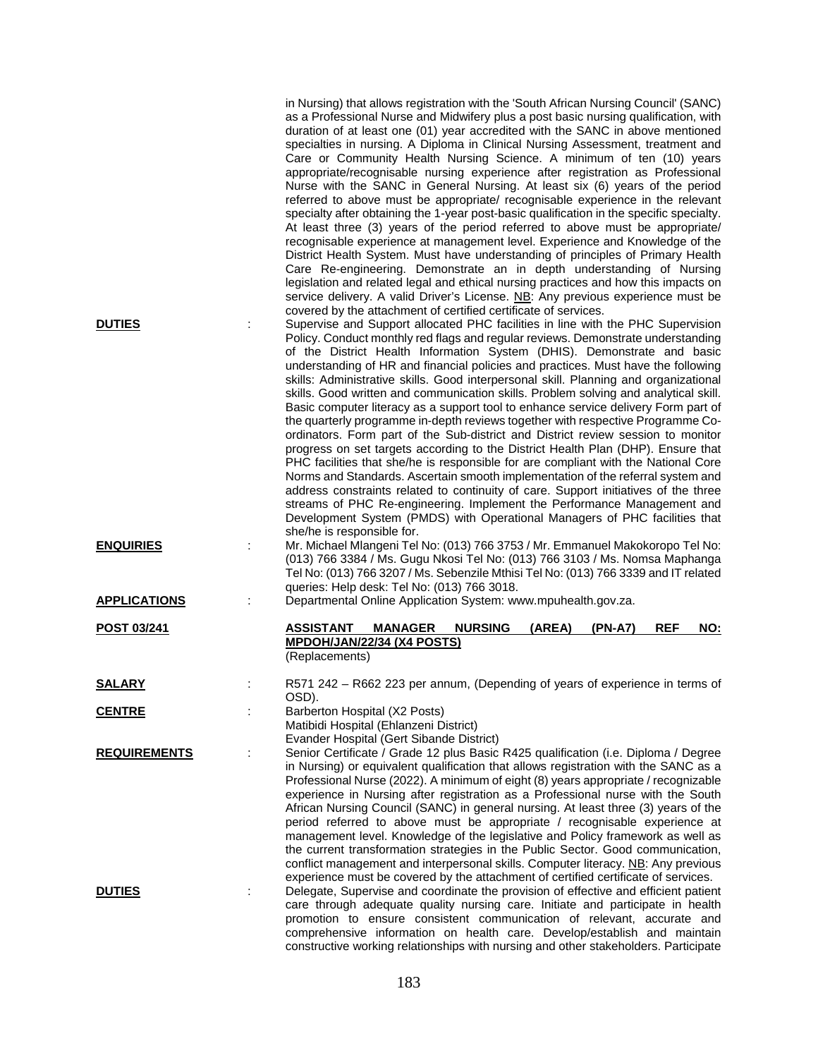| <b>DUTIES</b>       | in Nursing) that allows registration with the 'South African Nursing Council' (SANC)<br>as a Professional Nurse and Midwifery plus a post basic nursing qualification, with<br>duration of at least one (01) year accredited with the SANC in above mentioned<br>specialties in nursing. A Diploma in Clinical Nursing Assessment, treatment and<br>Care or Community Health Nursing Science. A minimum of ten (10) years<br>appropriate/recognisable nursing experience after registration as Professional<br>Nurse with the SANC in General Nursing. At least six (6) years of the period<br>referred to above must be appropriate/ recognisable experience in the relevant<br>specialty after obtaining the 1-year post-basic qualification in the specific specialty.<br>At least three (3) years of the period referred to above must be appropriate/<br>recognisable experience at management level. Experience and Knowledge of the<br>District Health System. Must have understanding of principles of Primary Health<br>Care Re-engineering. Demonstrate an in depth understanding of Nursing<br>legislation and related legal and ethical nursing practices and how this impacts on<br>service delivery. A valid Driver's License. NB: Any previous experience must be<br>covered by the attachment of certified certificate of services.<br>Supervise and Support allocated PHC facilities in line with the PHC Supervision<br>Policy. Conduct monthly red flags and regular reviews. Demonstrate understanding |
|---------------------|----------------------------------------------------------------------------------------------------------------------------------------------------------------------------------------------------------------------------------------------------------------------------------------------------------------------------------------------------------------------------------------------------------------------------------------------------------------------------------------------------------------------------------------------------------------------------------------------------------------------------------------------------------------------------------------------------------------------------------------------------------------------------------------------------------------------------------------------------------------------------------------------------------------------------------------------------------------------------------------------------------------------------------------------------------------------------------------------------------------------------------------------------------------------------------------------------------------------------------------------------------------------------------------------------------------------------------------------------------------------------------------------------------------------------------------------------------------------------------------------------------------------------|
|                     | of the District Health Information System (DHIS). Demonstrate and basic<br>understanding of HR and financial policies and practices. Must have the following<br>skills: Administrative skills. Good interpersonal skill. Planning and organizational<br>skills. Good written and communication skills. Problem solving and analytical skill.<br>Basic computer literacy as a support tool to enhance service delivery Form part of<br>the quarterly programme in-depth reviews together with respective Programme Co-<br>ordinators. Form part of the Sub-district and District review session to monitor<br>progress on set targets according to the District Health Plan (DHP). Ensure that<br>PHC facilities that she/he is responsible for are compliant with the National Core<br>Norms and Standards. Ascertain smooth implementation of the referral system and<br>address constraints related to continuity of care. Support initiatives of the three<br>streams of PHC Re-engineering. Implement the Performance Management and<br>Development System (PMDS) with Operational Managers of PHC facilities that                                                                                                                                                                                                                                                                                                                                                                                                     |
| <b>ENQUIRIES</b>    | she/he is responsible for.<br>Mr. Michael Mlangeni Tel No: (013) 766 3753 / Mr. Emmanuel Makokoropo Tel No:<br>(013) 766 3384 / Ms. Gugu Nkosi Tel No: (013) 766 3103 / Ms. Nomsa Maphanga<br>Tel No: (013) 766 3207 / Ms. Sebenzile Mthisi Tel No: (013) 766 3339 and IT related<br>queries: Help desk: Tel No: (013) 766 3018.                                                                                                                                                                                                                                                                                                                                                                                                                                                                                                                                                                                                                                                                                                                                                                                                                                                                                                                                                                                                                                                                                                                                                                                           |
| <b>APPLICATIONS</b> | Departmental Online Application System: www.mpuhealth.gov.za.                                                                                                                                                                                                                                                                                                                                                                                                                                                                                                                                                                                                                                                                                                                                                                                                                                                                                                                                                                                                                                                                                                                                                                                                                                                                                                                                                                                                                                                              |
| POST 03/241         | <b>ASSISTANT</b><br><b>NURSING</b><br>(AREA)<br>$(PN-A7)$<br><b>REF</b><br><b>NO:</b><br><b>MANAGER</b><br>MPDOH/JAN/22/34 (X4 POSTS)<br>(Replacements)                                                                                                                                                                                                                                                                                                                                                                                                                                                                                                                                                                                                                                                                                                                                                                                                                                                                                                                                                                                                                                                                                                                                                                                                                                                                                                                                                                    |
| <b>SALARY</b>       | R571 242 – R662 223 per annum, (Depending of years of experience in terms of<br>OSD).                                                                                                                                                                                                                                                                                                                                                                                                                                                                                                                                                                                                                                                                                                                                                                                                                                                                                                                                                                                                                                                                                                                                                                                                                                                                                                                                                                                                                                      |
| <b>CENTRE</b>       | Barberton Hospital (X2 Posts)<br>Matibidi Hospital (Ehlanzeni District)<br>Evander Hospital (Gert Sibande District)                                                                                                                                                                                                                                                                                                                                                                                                                                                                                                                                                                                                                                                                                                                                                                                                                                                                                                                                                                                                                                                                                                                                                                                                                                                                                                                                                                                                        |
| <b>REQUIREMENTS</b> | Senior Certificate / Grade 12 plus Basic R425 qualification (i.e. Diploma / Degree<br>in Nursing) or equivalent qualification that allows registration with the SANC as a<br>Professional Nurse (2022). A minimum of eight (8) years appropriate / recognizable<br>experience in Nursing after registration as a Professional nurse with the South<br>African Nursing Council (SANC) in general nursing. At least three (3) years of the<br>period referred to above must be appropriate / recognisable experience at<br>management level. Knowledge of the legislative and Policy framework as well as<br>the current transformation strategies in the Public Sector. Good communication,<br>conflict management and interpersonal skills. Computer literacy. NB: Any previous<br>experience must be covered by the attachment of certified certificate of services.                                                                                                                                                                                                                                                                                                                                                                                                                                                                                                                                                                                                                                                      |
| <b>DUTIES</b>       | Delegate, Supervise and coordinate the provision of effective and efficient patient<br>care through adequate quality nursing care. Initiate and participate in health<br>promotion to ensure consistent communication of relevant, accurate and<br>comprehensive information on health care. Develop/establish and maintain<br>constructive working relationships with nursing and other stakeholders. Participate                                                                                                                                                                                                                                                                                                                                                                                                                                                                                                                                                                                                                                                                                                                                                                                                                                                                                                                                                                                                                                                                                                         |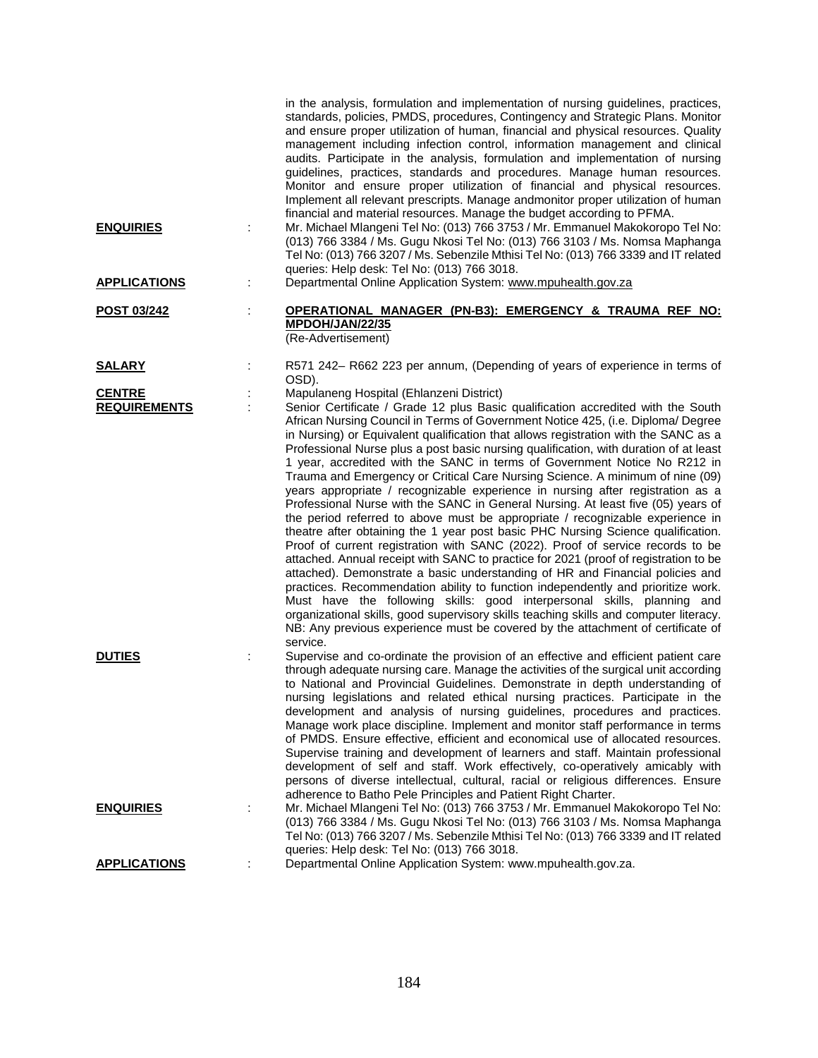| <b>ENQUIRIES</b>                     | in the analysis, formulation and implementation of nursing guidelines, practices,<br>standards, policies, PMDS, procedures, Contingency and Strategic Plans. Monitor<br>and ensure proper utilization of human, financial and physical resources. Quality<br>management including infection control, information management and clinical<br>audits. Participate in the analysis, formulation and implementation of nursing<br>guidelines, practices, standards and procedures. Manage human resources.<br>Monitor and ensure proper utilization of financial and physical resources.<br>Implement all relevant prescripts. Manage andmonitor proper utilization of human<br>financial and material resources. Manage the budget according to PFMA.<br>Mr. Michael Mlangeni Tel No: (013) 766 3753 / Mr. Emmanuel Makokoropo Tel No:<br>(013) 766 3384 / Ms. Gugu Nkosi Tel No: (013) 766 3103 / Ms. Nomsa Maphanga<br>Tel No: (013) 766 3207 / Ms. Sebenzile Mthisi Tel No: (013) 766 3339 and IT related<br>queries: Help desk: Tel No: (013) 766 3018.                                                                                                                                                                                                                                                                                                                                                                                                                                                                    |
|--------------------------------------|-----------------------------------------------------------------------------------------------------------------------------------------------------------------------------------------------------------------------------------------------------------------------------------------------------------------------------------------------------------------------------------------------------------------------------------------------------------------------------------------------------------------------------------------------------------------------------------------------------------------------------------------------------------------------------------------------------------------------------------------------------------------------------------------------------------------------------------------------------------------------------------------------------------------------------------------------------------------------------------------------------------------------------------------------------------------------------------------------------------------------------------------------------------------------------------------------------------------------------------------------------------------------------------------------------------------------------------------------------------------------------------------------------------------------------------------------------------------------------------------------------------------------------|
| <b>APPLICATIONS</b>                  | Departmental Online Application System: www.mpuhealth.gov.za                                                                                                                                                                                                                                                                                                                                                                                                                                                                                                                                                                                                                                                                                                                                                                                                                                                                                                                                                                                                                                                                                                                                                                                                                                                                                                                                                                                                                                                                |
| POST 03/242                          | OPERATIONAL MANAGER (PN-B3): EMERGENCY & TRAUMA REF NO:<br>MPDOH/JAN/22/35<br>(Re-Advertisement)                                                                                                                                                                                                                                                                                                                                                                                                                                                                                                                                                                                                                                                                                                                                                                                                                                                                                                                                                                                                                                                                                                                                                                                                                                                                                                                                                                                                                            |
| <u>SALARY</u>                        | R571 242- R662 223 per annum, (Depending of years of experience in terms of<br>OSD).                                                                                                                                                                                                                                                                                                                                                                                                                                                                                                                                                                                                                                                                                                                                                                                                                                                                                                                                                                                                                                                                                                                                                                                                                                                                                                                                                                                                                                        |
| <b>CENTRE</b><br><b>REQUIREMENTS</b> | Mapulaneng Hospital (Ehlanzeni District)<br>Senior Certificate / Grade 12 plus Basic qualification accredited with the South<br>African Nursing Council in Terms of Government Notice 425, (i.e. Diploma/ Degree<br>in Nursing) or Equivalent qualification that allows registration with the SANC as a<br>Professional Nurse plus a post basic nursing qualification, with duration of at least<br>1 year, accredited with the SANC in terms of Government Notice No R212 in<br>Trauma and Emergency or Critical Care Nursing Science. A minimum of nine (09)<br>years appropriate / recognizable experience in nursing after registration as a<br>Professional Nurse with the SANC in General Nursing. At least five (05) years of<br>the period referred to above must be appropriate / recognizable experience in<br>theatre after obtaining the 1 year post basic PHC Nursing Science qualification.<br>Proof of current registration with SANC (2022). Proof of service records to be<br>attached. Annual receipt with SANC to practice for 2021 (proof of registration to be<br>attached). Demonstrate a basic understanding of HR and Financial policies and<br>practices. Recommendation ability to function independently and prioritize work.<br>Must have the following skills: good interpersonal skills, planning and<br>organizational skills, good supervisory skills teaching skills and computer literacy.<br>NB: Any previous experience must be covered by the attachment of certificate of<br>service. |
| <b>DUTIES</b>                        | Supervise and co-ordinate the provision of an effective and efficient patient care<br>through adequate nursing care. Manage the activities of the surgical unit according<br>to National and Provincial Guidelines. Demonstrate in depth understanding of<br>nursing legislations and related ethical nursing practices. Participate in the<br>development and analysis of nursing guidelines, procedures and practices.<br>Manage work place discipline. Implement and monitor staff performance in terms<br>of PMDS. Ensure effective, efficient and economical use of allocated resources.<br>Supervise training and development of learners and staff. Maintain professional<br>development of self and staff. Work effectively, co-operatively amicably with<br>persons of diverse intellectual, cultural, racial or religious differences. Ensure<br>adherence to Batho Pele Principles and Patient Right Charter.                                                                                                                                                                                                                                                                                                                                                                                                                                                                                                                                                                                                    |
| <b>ENQUIRIES</b>                     | Mr. Michael Mlangeni Tel No: (013) 766 3753 / Mr. Emmanuel Makokoropo Tel No:<br>(013) 766 3384 / Ms. Gugu Nkosi Tel No: (013) 766 3103 / Ms. Nomsa Maphanga<br>Tel No: (013) 766 3207 / Ms. Sebenzile Mthisi Tel No: (013) 766 3339 and IT related<br>queries: Help desk: Tel No: (013) 766 3018.                                                                                                                                                                                                                                                                                                                                                                                                                                                                                                                                                                                                                                                                                                                                                                                                                                                                                                                                                                                                                                                                                                                                                                                                                          |
| <b>APPLICATIONS</b>                  | Departmental Online Application System: www.mpuhealth.gov.za.                                                                                                                                                                                                                                                                                                                                                                                                                                                                                                                                                                                                                                                                                                                                                                                                                                                                                                                                                                                                                                                                                                                                                                                                                                                                                                                                                                                                                                                               |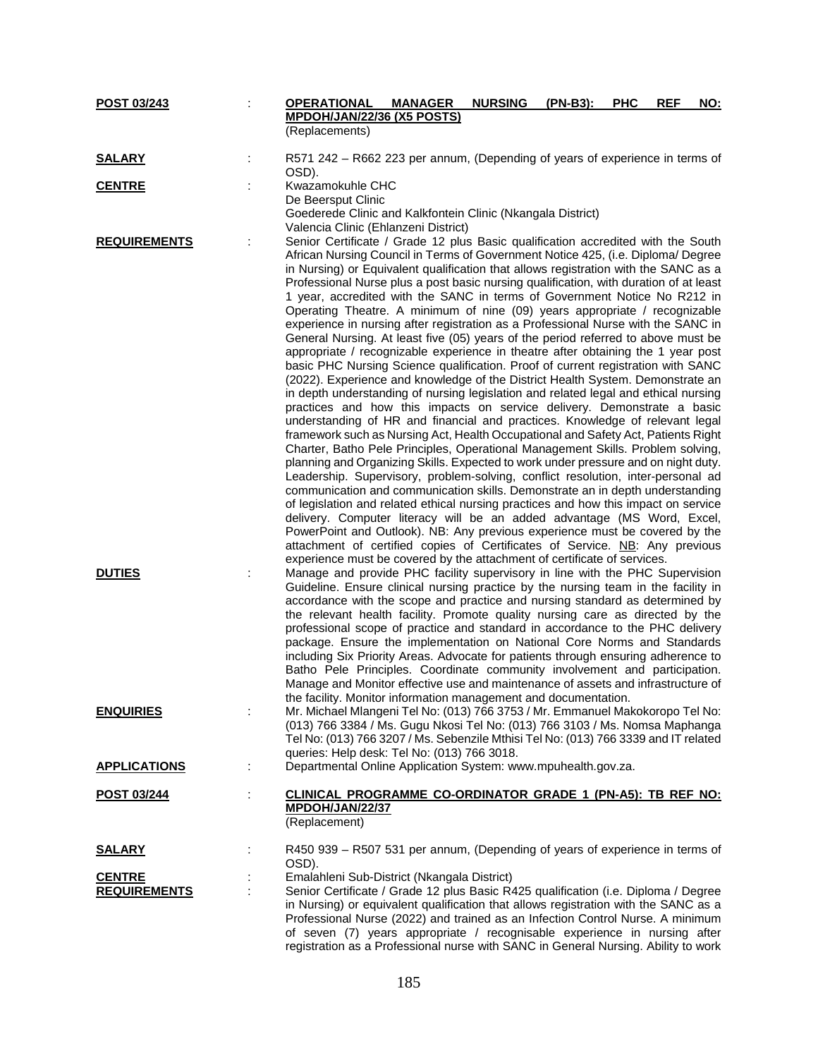| POST 03/243                          | <b>OPERATIONAL</b> | <b>MANAGER</b>                                                                                                                                                               | <b>NURSING</b> | (PN-B3): | <b>PHC</b> | <b>REF</b> | <u>NO:</u> |
|--------------------------------------|--------------------|------------------------------------------------------------------------------------------------------------------------------------------------------------------------------|----------------|----------|------------|------------|------------|
|                                      |                    | MPDOH/JAN/22/36 (X5 POSTS)                                                                                                                                                   |                |          |            |            |            |
|                                      | (Replacements)     |                                                                                                                                                                              |                |          |            |            |            |
| <b>SALARY</b>                        | OSD).              | R571 242 - R662 223 per annum, (Depending of years of experience in terms of                                                                                                 |                |          |            |            |            |
| <b>CENTRE</b>                        | Kwazamokuhle CHC   |                                                                                                                                                                              |                |          |            |            |            |
|                                      | De Beersput Clinic |                                                                                                                                                                              |                |          |            |            |            |
|                                      |                    | Goederede Clinic and Kalkfontein Clinic (Nkangala District)                                                                                                                  |                |          |            |            |            |
|                                      |                    | Valencia Clinic (Ehlanzeni District)                                                                                                                                         |                |          |            |            |            |
| <b>REQUIREMENTS</b>                  |                    | Senior Certificate / Grade 12 plus Basic qualification accredited with the South                                                                                             |                |          |            |            |            |
|                                      |                    | African Nursing Council in Terms of Government Notice 425, (i.e. Diploma/ Degree                                                                                             |                |          |            |            |            |
|                                      |                    | in Nursing) or Equivalent qualification that allows registration with the SANC as a<br>Professional Nurse plus a post basic nursing qualification, with duration of at least |                |          |            |            |            |
|                                      |                    | 1 year, accredited with the SANC in terms of Government Notice No R212 in                                                                                                    |                |          |            |            |            |
|                                      |                    | Operating Theatre. A minimum of nine (09) years appropriate / recognizable                                                                                                   |                |          |            |            |            |
|                                      |                    | experience in nursing after registration as a Professional Nurse with the SANC in                                                                                            |                |          |            |            |            |
|                                      |                    | General Nursing. At least five (05) years of the period referred to above must be                                                                                            |                |          |            |            |            |
|                                      |                    | appropriate / recognizable experience in theatre after obtaining the 1 year post                                                                                             |                |          |            |            |            |
|                                      |                    | basic PHC Nursing Science qualification. Proof of current registration with SANC                                                                                             |                |          |            |            |            |
|                                      |                    | (2022). Experience and knowledge of the District Health System. Demonstrate an<br>in depth understanding of nursing legislation and related legal and ethical nursing        |                |          |            |            |            |
|                                      |                    | practices and how this impacts on service delivery. Demonstrate a basic                                                                                                      |                |          |            |            |            |
|                                      |                    | understanding of HR and financial and practices. Knowledge of relevant legal                                                                                                 |                |          |            |            |            |
|                                      |                    | framework such as Nursing Act, Health Occupational and Safety Act, Patients Right                                                                                            |                |          |            |            |            |
|                                      |                    | Charter, Batho Pele Principles, Operational Management Skills. Problem solving,                                                                                              |                |          |            |            |            |
|                                      |                    | planning and Organizing Skills. Expected to work under pressure and on night duty.                                                                                           |                |          |            |            |            |
|                                      |                    | Leadership. Supervisory, problem-solving, conflict resolution, inter-personal ad                                                                                             |                |          |            |            |            |
|                                      |                    | communication and communication skills. Demonstrate an in depth understanding                                                                                                |                |          |            |            |            |
|                                      |                    | of legislation and related ethical nursing practices and how this impact on service<br>delivery. Computer literacy will be an added advantage (MS Word, Excel,               |                |          |            |            |            |
|                                      |                    | PowerPoint and Outlook). NB: Any previous experience must be covered by the                                                                                                  |                |          |            |            |            |
|                                      |                    | attachment of certified copies of Certificates of Service. NB: Any previous                                                                                                  |                |          |            |            |            |
|                                      |                    | experience must be covered by the attachment of certificate of services.                                                                                                     |                |          |            |            |            |
| <b>DUTIES</b>                        |                    | Manage and provide PHC facility supervisory in line with the PHC Supervision                                                                                                 |                |          |            |            |            |
|                                      |                    | Guideline. Ensure clinical nursing practice by the nursing team in the facility in                                                                                           |                |          |            |            |            |
|                                      |                    | accordance with the scope and practice and nursing standard as determined by                                                                                                 |                |          |            |            |            |
|                                      |                    | the relevant health facility. Promote quality nursing care as directed by the<br>professional scope of practice and standard in accordance to the PHC delivery               |                |          |            |            |            |
|                                      |                    | package. Ensure the implementation on National Core Norms and Standards                                                                                                      |                |          |            |            |            |
|                                      |                    | including Six Priority Areas. Advocate for patients through ensuring adherence to                                                                                            |                |          |            |            |            |
|                                      |                    | Batho Pele Principles. Coordinate community involvement and participation.                                                                                                   |                |          |            |            |            |
|                                      |                    | Manage and Monitor effective use and maintenance of assets and infrastructure of                                                                                             |                |          |            |            |            |
|                                      |                    | the facility. Monitor information management and documentation.                                                                                                              |                |          |            |            |            |
| <b>ENQUIRIES</b>                     |                    | Mr. Michael Mlangeni Tel No: (013) 766 3753 / Mr. Emmanuel Makokoropo Tel No:<br>(013) 766 3384 / Ms. Gugu Nkosi Tel No: (013) 766 3103 / Ms. Nomsa Maphanga                 |                |          |            |            |            |
|                                      |                    | Tel No: (013) 766 3207 / Ms. Sebenzile Mthisi Tel No: (013) 766 3339 and IT related                                                                                          |                |          |            |            |            |
|                                      |                    | queries: Help desk: Tel No: (013) 766 3018.                                                                                                                                  |                |          |            |            |            |
| <b>APPLICATIONS</b>                  |                    | Departmental Online Application System: www.mpuhealth.gov.za.                                                                                                                |                |          |            |            |            |
| POST 03/244                          |                    | CLINICAL PROGRAMME CO-ORDINATOR GRADE 1 (PN-A5): TB REF NO:                                                                                                                  |                |          |            |            |            |
|                                      | MPDOH/JAN/22/37    |                                                                                                                                                                              |                |          |            |            |            |
|                                      | (Replacement)      |                                                                                                                                                                              |                |          |            |            |            |
| <b>SALARY</b>                        |                    | R450 939 – R507 531 per annum, (Depending of years of experience in terms of                                                                                                 |                |          |            |            |            |
|                                      | OSD).              |                                                                                                                                                                              |                |          |            |            |            |
| <b>CENTRE</b><br><b>REQUIREMENTS</b> |                    | Emalahleni Sub-District (Nkangala District)<br>Senior Certificate / Grade 12 plus Basic R425 qualification (i.e. Diploma / Degree                                            |                |          |            |            |            |
|                                      |                    | in Nursing) or equivalent qualification that allows registration with the SANC as a                                                                                          |                |          |            |            |            |
|                                      |                    | Professional Nurse (2022) and trained as an Infection Control Nurse. A minimum                                                                                               |                |          |            |            |            |
|                                      |                    | of seven (7) years appropriate / recognisable experience in nursing after                                                                                                    |                |          |            |            |            |
|                                      |                    | registration as a Professional nurse with SANC in General Nursing. Ability to work                                                                                           |                |          |            |            |            |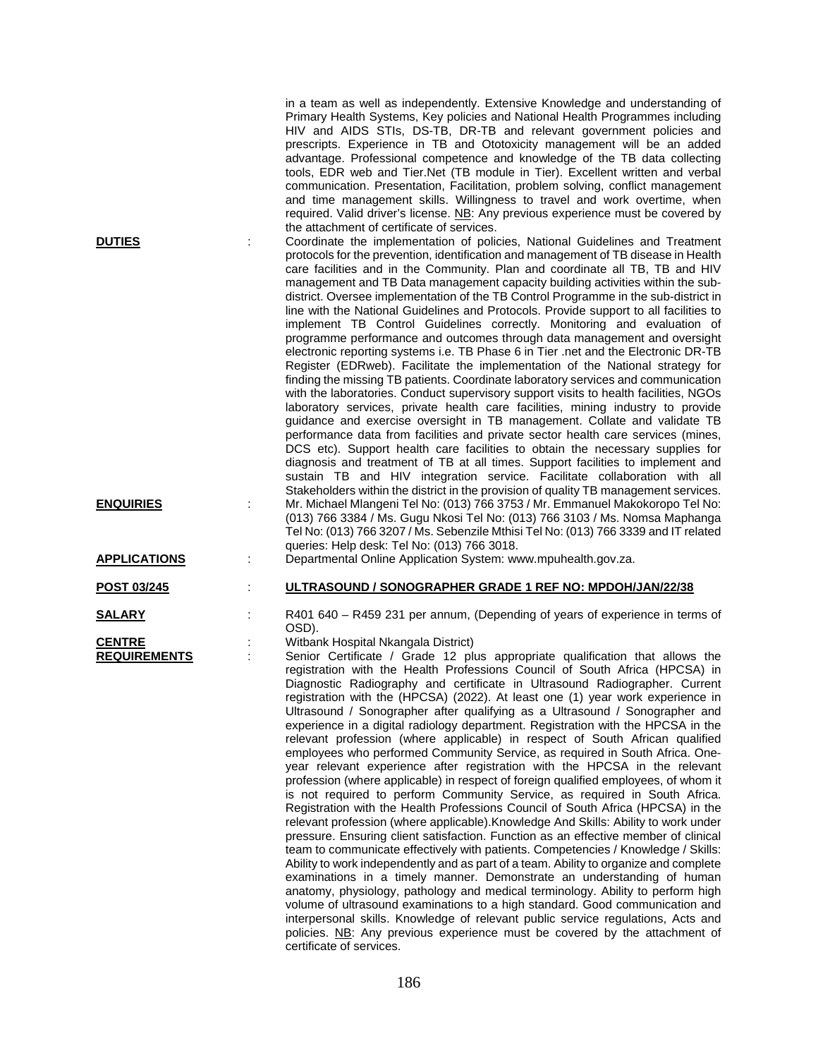|                     | in a team as well as independently. Extensive Knowledge and understanding of<br>Primary Health Systems, Key policies and National Health Programmes including<br>HIV and AIDS STIs, DS-TB, DR-TB and relevant government policies and<br>prescripts. Experience in TB and Ototoxicity management will be an added<br>advantage. Professional competence and knowledge of the TB data collecting<br>tools, EDR web and Tier.Net (TB module in Tier). Excellent written and verbal<br>communication. Presentation, Facilitation, problem solving, conflict management<br>and time management skills. Willingness to travel and work overtime, when<br>required. Valid driver's license. NB: Any previous experience must be covered by                                                                                                                                                                                                                                                                                                                                                                                                                                                                                                                                                                                                                                                                                                                                                                                                                                                                                                                                                                                                                                            |
|---------------------|---------------------------------------------------------------------------------------------------------------------------------------------------------------------------------------------------------------------------------------------------------------------------------------------------------------------------------------------------------------------------------------------------------------------------------------------------------------------------------------------------------------------------------------------------------------------------------------------------------------------------------------------------------------------------------------------------------------------------------------------------------------------------------------------------------------------------------------------------------------------------------------------------------------------------------------------------------------------------------------------------------------------------------------------------------------------------------------------------------------------------------------------------------------------------------------------------------------------------------------------------------------------------------------------------------------------------------------------------------------------------------------------------------------------------------------------------------------------------------------------------------------------------------------------------------------------------------------------------------------------------------------------------------------------------------------------------------------------------------------------------------------------------------|
| <b>DUTIES</b>       | the attachment of certificate of services.<br>Coordinate the implementation of policies, National Guidelines and Treatment<br>÷<br>protocols for the prevention, identification and management of TB disease in Health<br>care facilities and in the Community. Plan and coordinate all TB, TB and HIV<br>management and TB Data management capacity building activities within the sub-<br>district. Oversee implementation of the TB Control Programme in the sub-district in<br>line with the National Guidelines and Protocols. Provide support to all facilities to<br>implement TB Control Guidelines correctly. Monitoring and evaluation of<br>programme performance and outcomes through data management and oversight<br>electronic reporting systems i.e. TB Phase 6 in Tier .net and the Electronic DR-TB<br>Register (EDRweb). Facilitate the implementation of the National strategy for<br>finding the missing TB patients. Coordinate laboratory services and communication<br>with the laboratories. Conduct supervisory support visits to health facilities, NGOs<br>laboratory services, private health care facilities, mining industry to provide<br>guidance and exercise oversight in TB management. Collate and validate TB<br>performance data from facilities and private sector health care services (mines,<br>DCS etc). Support health care facilities to obtain the necessary supplies for<br>diagnosis and treatment of TB at all times. Support facilities to implement and<br>sustain TB and HIV integration service. Facilitate collaboration with all                                                                                                                                                                                        |
| <b>ENQUIRIES</b>    | Stakeholders within the district in the provision of quality TB management services.<br>Mr. Michael Mlangeni Tel No: (013) 766 3753 / Mr. Emmanuel Makokoropo Tel No:<br>(013) 766 3384 / Ms. Gugu Nkosi Tel No: (013) 766 3103 / Ms. Nomsa Maphanga<br>Tel No: (013) 766 3207 / Ms. Sebenzile Mthisi Tel No: (013) 766 3339 and IT related<br>queries: Help desk: Tel No: (013) 766 3018.                                                                                                                                                                                                                                                                                                                                                                                                                                                                                                                                                                                                                                                                                                                                                                                                                                                                                                                                                                                                                                                                                                                                                                                                                                                                                                                                                                                      |
| <b>APPLICATIONS</b> | Departmental Online Application System: www.mpuhealth.gov.za.                                                                                                                                                                                                                                                                                                                                                                                                                                                                                                                                                                                                                                                                                                                                                                                                                                                                                                                                                                                                                                                                                                                                                                                                                                                                                                                                                                                                                                                                                                                                                                                                                                                                                                                   |
| POST 03/245         | ULTRASOUND / SONOGRAPHER GRADE 1 REF NO: MPDOH/JAN/22/38                                                                                                                                                                                                                                                                                                                                                                                                                                                                                                                                                                                                                                                                                                                                                                                                                                                                                                                                                                                                                                                                                                                                                                                                                                                                                                                                                                                                                                                                                                                                                                                                                                                                                                                        |
| <u>SALARY</u>       | R401 640 - R459 231 per annum, (Depending of years of experience in terms of<br>OSD).                                                                                                                                                                                                                                                                                                                                                                                                                                                                                                                                                                                                                                                                                                                                                                                                                                                                                                                                                                                                                                                                                                                                                                                                                                                                                                                                                                                                                                                                                                                                                                                                                                                                                           |
| <b>CENTRE</b>       | Witbank Hospital Nkangala District)                                                                                                                                                                                                                                                                                                                                                                                                                                                                                                                                                                                                                                                                                                                                                                                                                                                                                                                                                                                                                                                                                                                                                                                                                                                                                                                                                                                                                                                                                                                                                                                                                                                                                                                                             |
| <b>REQUIREMENTS</b> | Senior Certificate / Grade 12 plus appropriate qualification that allows the<br>registration with the Health Professions Council of South Africa (HPCSA) in<br>Diagnostic Radiography and certificate in Ultrasound Radiographer. Current<br>registration with the (HPCSA) (2022). At least one (1) year work experience in<br>Ultrasound / Sonographer after qualifying as a Ultrasound / Sonographer and<br>experience in a digital radiology department. Registration with the HPCSA in the<br>relevant profession (where applicable) in respect of South African qualified<br>employees who performed Community Service, as required in South Africa. One-<br>year relevant experience after registration with the HPCSA in the relevant<br>profession (where applicable) in respect of foreign qualified employees, of whom it<br>is not required to perform Community Service, as required in South Africa.<br>Registration with the Health Professions Council of South Africa (HPCSA) in the<br>relevant profession (where applicable). Knowledge And Skills: Ability to work under<br>pressure. Ensuring client satisfaction. Function as an effective member of clinical<br>team to communicate effectively with patients. Competencies / Knowledge / Skills:<br>Ability to work independently and as part of a team. Ability to organize and complete<br>examinations in a timely manner. Demonstrate an understanding of human<br>anatomy, physiology, pathology and medical terminology. Ability to perform high<br>volume of ultrasound examinations to a high standard. Good communication and<br>interpersonal skills. Knowledge of relevant public service regulations, Acts and<br>policies. NB: Any previous experience must be covered by the attachment of |

certificate of services.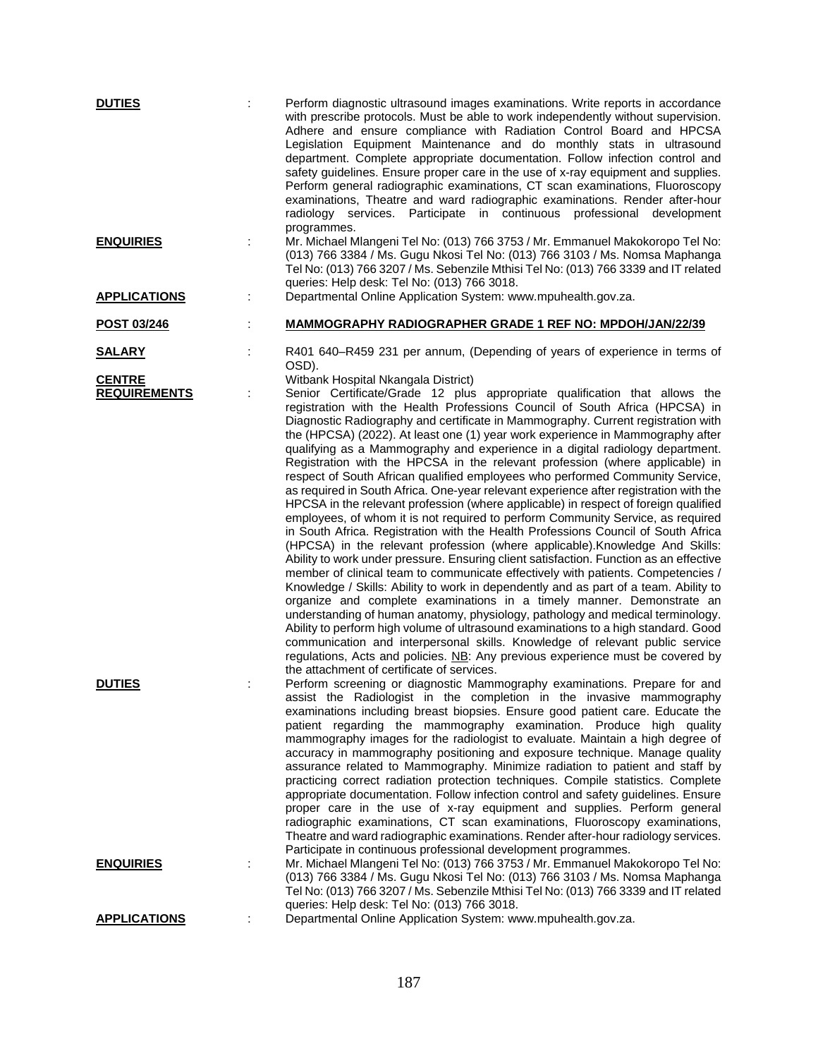| <b>DUTIES</b>                        |   | Perform diagnostic ultrasound images examinations. Write reports in accordance<br>with prescribe protocols. Must be able to work independently without supervision.<br>Adhere and ensure compliance with Radiation Control Board and HPCSA<br>Legislation Equipment Maintenance and do monthly stats in ultrasound<br>department. Complete appropriate documentation. Follow infection control and<br>safety guidelines. Ensure proper care in the use of x-ray equipment and supplies.<br>Perform general radiographic examinations, CT scan examinations, Fluoroscopy<br>examinations, Theatre and ward radiographic examinations. Render after-hour<br>radiology services. Participate in continuous professional development<br>programmes.                                                                                                                                                                                                                                                                                                                                                                                                                                                                                                                                                                                                                                                                                                                                                                                                                                                                                                                                                                                                                                                         |
|--------------------------------------|---|---------------------------------------------------------------------------------------------------------------------------------------------------------------------------------------------------------------------------------------------------------------------------------------------------------------------------------------------------------------------------------------------------------------------------------------------------------------------------------------------------------------------------------------------------------------------------------------------------------------------------------------------------------------------------------------------------------------------------------------------------------------------------------------------------------------------------------------------------------------------------------------------------------------------------------------------------------------------------------------------------------------------------------------------------------------------------------------------------------------------------------------------------------------------------------------------------------------------------------------------------------------------------------------------------------------------------------------------------------------------------------------------------------------------------------------------------------------------------------------------------------------------------------------------------------------------------------------------------------------------------------------------------------------------------------------------------------------------------------------------------------------------------------------------------------|
| <b>ENQUIRIES</b>                     | t | Mr. Michael Mlangeni Tel No: (013) 766 3753 / Mr. Emmanuel Makokoropo Tel No:<br>(013) 766 3384 / Ms. Gugu Nkosi Tel No: (013) 766 3103 / Ms. Nomsa Maphanga<br>Tel No: (013) 766 3207 / Ms. Sebenzile Mthisi Tel No: (013) 766 3339 and IT related<br>queries: Help desk: Tel No: (013) 766 3018.                                                                                                                                                                                                                                                                                                                                                                                                                                                                                                                                                                                                                                                                                                                                                                                                                                                                                                                                                                                                                                                                                                                                                                                                                                                                                                                                                                                                                                                                                                      |
| <b>APPLICATIONS</b>                  | ÷ | Departmental Online Application System: www.mpuhealth.gov.za.                                                                                                                                                                                                                                                                                                                                                                                                                                                                                                                                                                                                                                                                                                                                                                                                                                                                                                                                                                                                                                                                                                                                                                                                                                                                                                                                                                                                                                                                                                                                                                                                                                                                                                                                           |
| POST 03/246                          | t | <b>MAMMOGRAPHY RADIOGRAPHER GRADE 1 REF NO: MPDOH/JAN/22/39</b>                                                                                                                                                                                                                                                                                                                                                                                                                                                                                                                                                                                                                                                                                                                                                                                                                                                                                                                                                                                                                                                                                                                                                                                                                                                                                                                                                                                                                                                                                                                                                                                                                                                                                                                                         |
| <u>SALARY</u>                        |   | R401 640-R459 231 per annum, (Depending of years of experience in terms of<br>OSD).                                                                                                                                                                                                                                                                                                                                                                                                                                                                                                                                                                                                                                                                                                                                                                                                                                                                                                                                                                                                                                                                                                                                                                                                                                                                                                                                                                                                                                                                                                                                                                                                                                                                                                                     |
| <b>CENTRE</b><br><b>REQUIREMENTS</b> | ÷ | Witbank Hospital Nkangala District)<br>Senior Certificate/Grade 12 plus appropriate qualification that allows the<br>registration with the Health Professions Council of South Africa (HPCSA) in<br>Diagnostic Radiography and certificate in Mammography. Current registration with<br>the (HPCSA) (2022). At least one (1) year work experience in Mammography after<br>qualifying as a Mammography and experience in a digital radiology department.<br>Registration with the HPCSA in the relevant profession (where applicable) in<br>respect of South African qualified employees who performed Community Service,<br>as required in South Africa. One-year relevant experience after registration with the<br>HPCSA in the relevant profession (where applicable) in respect of foreign qualified<br>employees, of whom it is not required to perform Community Service, as required<br>in South Africa. Registration with the Health Professions Council of South Africa<br>(HPCSA) in the relevant profession (where applicable). Knowledge And Skills:<br>Ability to work under pressure. Ensuring client satisfaction. Function as an effective<br>member of clinical team to communicate effectively with patients. Competencies /<br>Knowledge / Skills: Ability to work in dependently and as part of a team. Ability to<br>organize and complete examinations in a timely manner. Demonstrate an<br>understanding of human anatomy, physiology, pathology and medical terminology.<br>Ability to perform high volume of ultrasound examinations to a high standard. Good<br>communication and interpersonal skills. Knowledge of relevant public service<br>regulations, Acts and policies. NB: Any previous experience must be covered by<br>the attachment of certificate of services. |
| <b>DUTIES</b>                        |   | Perform screening or diagnostic Mammography examinations. Prepare for and<br>assist the Radiologist in the completion in the invasive mammography<br>examinations including breast biopsies. Ensure good patient care. Educate the<br>patient regarding the mammography examination. Produce high quality<br>mammography images for the radiologist to evaluate. Maintain a high degree of<br>accuracy in mammography positioning and exposure technique. Manage quality<br>assurance related to Mammography. Minimize radiation to patient and staff by<br>practicing correct radiation protection techniques. Compile statistics. Complete<br>appropriate documentation. Follow infection control and safety guidelines. Ensure<br>proper care in the use of x-ray equipment and supplies. Perform general<br>radiographic examinations, CT scan examinations, Fluoroscopy examinations,<br>Theatre and ward radiographic examinations. Render after-hour radiology services.<br>Participate in continuous professional development programmes.                                                                                                                                                                                                                                                                                                                                                                                                                                                                                                                                                                                                                                                                                                                                                       |
| <b>ENQUIRIES</b>                     |   | Mr. Michael Mlangeni Tel No: (013) 766 3753 / Mr. Emmanuel Makokoropo Tel No:<br>(013) 766 3384 / Ms. Gugu Nkosi Tel No: (013) 766 3103 / Ms. Nomsa Maphanga<br>Tel No: (013) 766 3207 / Ms. Sebenzile Mthisi Tel No: (013) 766 3339 and IT related<br>queries: Help desk: Tel No: (013) 766 3018.                                                                                                                                                                                                                                                                                                                                                                                                                                                                                                                                                                                                                                                                                                                                                                                                                                                                                                                                                                                                                                                                                                                                                                                                                                                                                                                                                                                                                                                                                                      |
| <b>APPLICATIONS</b>                  |   | Departmental Online Application System: www.mpuhealth.gov.za.                                                                                                                                                                                                                                                                                                                                                                                                                                                                                                                                                                                                                                                                                                                                                                                                                                                                                                                                                                                                                                                                                                                                                                                                                                                                                                                                                                                                                                                                                                                                                                                                                                                                                                                                           |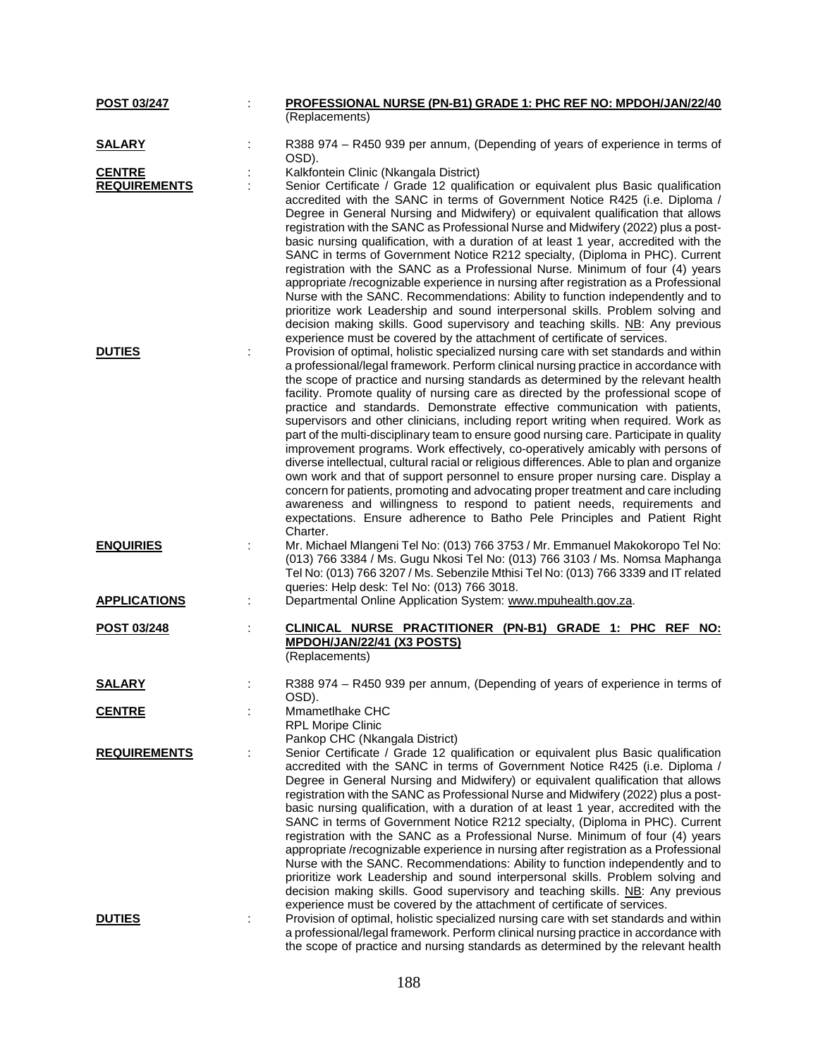| POST 03/247         | PROFESSIONAL NURSE (PN-B1) GRADE 1: PHC REF NO: MPDOH/JAN/22/40                                                                                                                                                                                                                                                                                                                                                                                                                                                                                                                                                                                                                                                                                                                                                                                                                                                                                                                                                                |
|---------------------|--------------------------------------------------------------------------------------------------------------------------------------------------------------------------------------------------------------------------------------------------------------------------------------------------------------------------------------------------------------------------------------------------------------------------------------------------------------------------------------------------------------------------------------------------------------------------------------------------------------------------------------------------------------------------------------------------------------------------------------------------------------------------------------------------------------------------------------------------------------------------------------------------------------------------------------------------------------------------------------------------------------------------------|
|                     | (Replacements)                                                                                                                                                                                                                                                                                                                                                                                                                                                                                                                                                                                                                                                                                                                                                                                                                                                                                                                                                                                                                 |
| <b>SALARY</b>       | R388 974 - R450 939 per annum, (Depending of years of experience in terms of<br>OSD).                                                                                                                                                                                                                                                                                                                                                                                                                                                                                                                                                                                                                                                                                                                                                                                                                                                                                                                                          |
| <b>CENTRE</b>       | Kalkfontein Clinic (Nkangala District)                                                                                                                                                                                                                                                                                                                                                                                                                                                                                                                                                                                                                                                                                                                                                                                                                                                                                                                                                                                         |
| <b>REQUIREMENTS</b> | Senior Certificate / Grade 12 qualification or equivalent plus Basic qualification<br>accredited with the SANC in terms of Government Notice R425 (i.e. Diploma /                                                                                                                                                                                                                                                                                                                                                                                                                                                                                                                                                                                                                                                                                                                                                                                                                                                              |
|                     | Degree in General Nursing and Midwifery) or equivalent qualification that allows<br>registration with the SANC as Professional Nurse and Midwifery (2022) plus a post-<br>basic nursing qualification, with a duration of at least 1 year, accredited with the<br>SANC in terms of Government Notice R212 specialty, (Diploma in PHC). Current<br>registration with the SANC as a Professional Nurse. Minimum of four (4) years<br>appropriate /recognizable experience in nursing after registration as a Professional<br>Nurse with the SANC. Recommendations: Ability to function independently and to<br>prioritize work Leadership and sound interpersonal skills. Problem solving and<br>decision making skills. Good supervisory and teaching skills. NB: Any previous<br>experience must be covered by the attachment of certificate of services.                                                                                                                                                                      |
| <b>DUTIES</b>       | Provision of optimal, holistic specialized nursing care with set standards and within<br>a professional/legal framework. Perform clinical nursing practice in accordance with<br>the scope of practice and nursing standards as determined by the relevant health<br>facility. Promote quality of nursing care as directed by the professional scope of<br>practice and standards. Demonstrate effective communication with patients,<br>supervisors and other clinicians, including report writing when required. Work as                                                                                                                                                                                                                                                                                                                                                                                                                                                                                                     |
|                     | part of the multi-disciplinary team to ensure good nursing care. Participate in quality<br>improvement programs. Work effectively, co-operatively amicably with persons of<br>diverse intellectual, cultural racial or religious differences. Able to plan and organize<br>own work and that of support personnel to ensure proper nursing care. Display a<br>concern for patients, promoting and advocating proper treatment and care including<br>awareness and willingness to respond to patient needs, requirements and<br>expectations. Ensure adherence to Batho Pele Principles and Patient Right<br>Charter.                                                                                                                                                                                                                                                                                                                                                                                                           |
| <b>ENQUIRIES</b>    | Mr. Michael Mlangeni Tel No: (013) 766 3753 / Mr. Emmanuel Makokoropo Tel No:<br>(013) 766 3384 / Ms. Gugu Nkosi Tel No: (013) 766 3103 / Ms. Nomsa Maphanga<br>Tel No: (013) 766 3207 / Ms. Sebenzile Mthisi Tel No: (013) 766 3339 and IT related<br>queries: Help desk: Tel No: (013) 766 3018.                                                                                                                                                                                                                                                                                                                                                                                                                                                                                                                                                                                                                                                                                                                             |
| <b>APPLICATIONS</b> | Departmental Online Application System: www.mpuhealth.gov.za.                                                                                                                                                                                                                                                                                                                                                                                                                                                                                                                                                                                                                                                                                                                                                                                                                                                                                                                                                                  |
| POST 03/248         | CLINICAL NURSE PRACTITIONER (PN-B1) GRADE 1: PHC REF NO:<br>MPDOH/JAN/22/41 (X3 POSTS)<br>(Replacements)                                                                                                                                                                                                                                                                                                                                                                                                                                                                                                                                                                                                                                                                                                                                                                                                                                                                                                                       |
| <b>SALARY</b>       | R388 974 - R450 939 per annum, (Depending of years of experience in terms of<br>OSD).                                                                                                                                                                                                                                                                                                                                                                                                                                                                                                                                                                                                                                                                                                                                                                                                                                                                                                                                          |
| <b>CENTRE</b>       | Mmametlhake CHC<br><b>RPL Moripe Clinic</b><br>Pankop CHC (Nkangala District)                                                                                                                                                                                                                                                                                                                                                                                                                                                                                                                                                                                                                                                                                                                                                                                                                                                                                                                                                  |
| <b>REQUIREMENTS</b> | Senior Certificate / Grade 12 qualification or equivalent plus Basic qualification<br>accredited with the SANC in terms of Government Notice R425 (i.e. Diploma /<br>Degree in General Nursing and Midwifery) or equivalent qualification that allows<br>registration with the SANC as Professional Nurse and Midwifery (2022) plus a post-<br>basic nursing qualification, with a duration of at least 1 year, accredited with the<br>SANC in terms of Government Notice R212 specialty, (Diploma in PHC). Current<br>registration with the SANC as a Professional Nurse. Minimum of four (4) years<br>appropriate /recognizable experience in nursing after registration as a Professional<br>Nurse with the SANC. Recommendations: Ability to function independently and to<br>prioritize work Leadership and sound interpersonal skills. Problem solving and<br>decision making skills. Good supervisory and teaching skills. NB: Any previous<br>experience must be covered by the attachment of certificate of services. |
| <b>DUTIES</b>       | Provision of optimal, holistic specialized nursing care with set standards and within<br>a professional/legal framework. Perform clinical nursing practice in accordance with<br>the scope of practice and nursing standards as determined by the relevant health                                                                                                                                                                                                                                                                                                                                                                                                                                                                                                                                                                                                                                                                                                                                                              |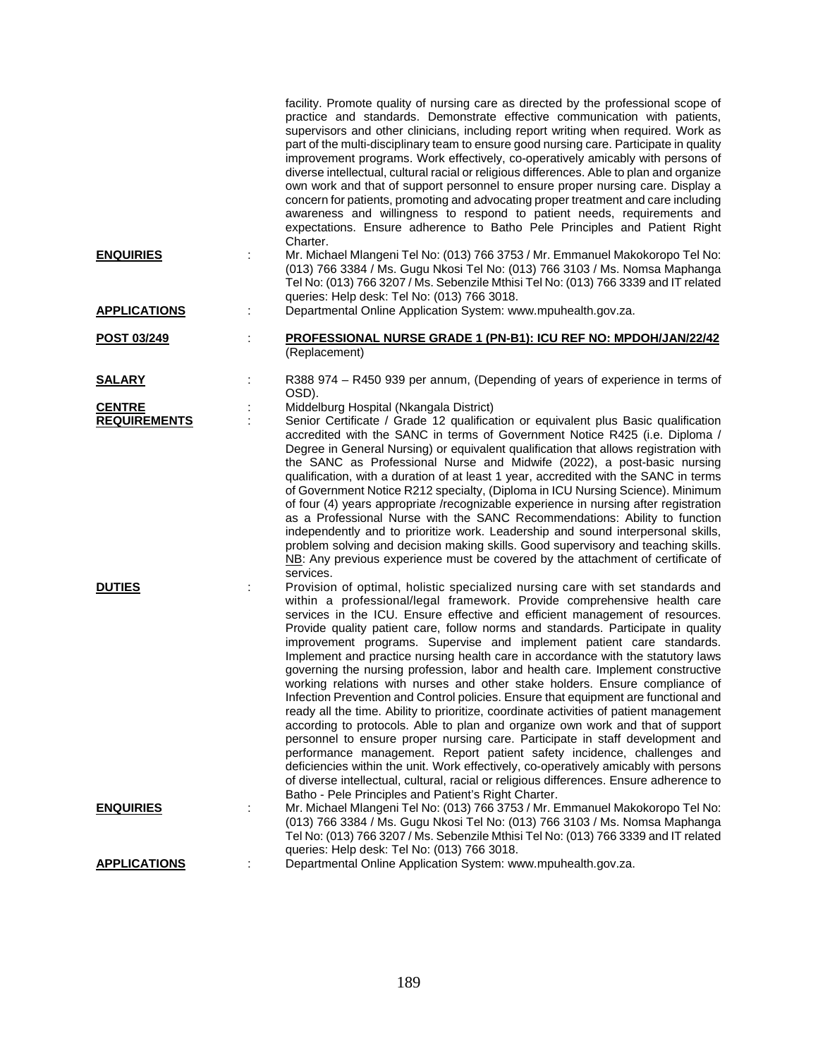|                                      |   | facility. Promote quality of nursing care as directed by the professional scope of<br>practice and standards. Demonstrate effective communication with patients,<br>supervisors and other clinicians, including report writing when required. Work as<br>part of the multi-disciplinary team to ensure good nursing care. Participate in quality<br>improvement programs. Work effectively, co-operatively amicably with persons of<br>diverse intellectual, cultural racial or religious differences. Able to plan and organize<br>own work and that of support personnel to ensure proper nursing care. Display a<br>concern for patients, promoting and advocating proper treatment and care including<br>awareness and willingness to respond to patient needs, requirements and<br>expectations. Ensure adherence to Batho Pele Principles and Patient Right<br>Charter.                                                                                                                                                                                                                                                                                                                                                                                                                                                           |
|--------------------------------------|---|-----------------------------------------------------------------------------------------------------------------------------------------------------------------------------------------------------------------------------------------------------------------------------------------------------------------------------------------------------------------------------------------------------------------------------------------------------------------------------------------------------------------------------------------------------------------------------------------------------------------------------------------------------------------------------------------------------------------------------------------------------------------------------------------------------------------------------------------------------------------------------------------------------------------------------------------------------------------------------------------------------------------------------------------------------------------------------------------------------------------------------------------------------------------------------------------------------------------------------------------------------------------------------------------------------------------------------------------|
| <b>ENQUIRIES</b>                     | ÷ | Mr. Michael Mlangeni Tel No: (013) 766 3753 / Mr. Emmanuel Makokoropo Tel No:<br>(013) 766 3384 / Ms. Gugu Nkosi Tel No: (013) 766 3103 / Ms. Nomsa Maphanga<br>Tel No: (013) 766 3207 / Ms. Sebenzile Mthisi Tel No: (013) 766 3339 and IT related<br>queries: Help desk: Tel No: (013) 766 3018.                                                                                                                                                                                                                                                                                                                                                                                                                                                                                                                                                                                                                                                                                                                                                                                                                                                                                                                                                                                                                                      |
| <b>APPLICATIONS</b>                  |   | Departmental Online Application System: www.mpuhealth.gov.za.                                                                                                                                                                                                                                                                                                                                                                                                                                                                                                                                                                                                                                                                                                                                                                                                                                                                                                                                                                                                                                                                                                                                                                                                                                                                           |
| POST 03/249                          |   | PROFESSIONAL NURSE GRADE 1 (PN-B1): ICU REF NO: MPDOH/JAN/22/42<br>(Replacement)                                                                                                                                                                                                                                                                                                                                                                                                                                                                                                                                                                                                                                                                                                                                                                                                                                                                                                                                                                                                                                                                                                                                                                                                                                                        |
| <b>SALARY</b>                        |   | R388 974 - R450 939 per annum, (Depending of years of experience in terms of<br>OSD).                                                                                                                                                                                                                                                                                                                                                                                                                                                                                                                                                                                                                                                                                                                                                                                                                                                                                                                                                                                                                                                                                                                                                                                                                                                   |
| <b>CENTRE</b><br><b>REQUIREMENTS</b> |   | Middelburg Hospital (Nkangala District)<br>Senior Certificate / Grade 12 qualification or equivalent plus Basic qualification<br>accredited with the SANC in terms of Government Notice R425 (i.e. Diploma /<br>Degree in General Nursing) or equivalent qualification that allows registration with<br>the SANC as Professional Nurse and Midwife (2022), a post-basic nursing<br>qualification, with a duration of at least 1 year, accredited with the SANC in terms                                                                                                                                                                                                                                                                                                                                                                                                                                                                                                                                                                                                                                                                                                                                                                                                                                                                 |
|                                      |   | of Government Notice R212 specialty, (Diploma in ICU Nursing Science). Minimum<br>of four (4) years appropriate /recognizable experience in nursing after registration<br>as a Professional Nurse with the SANC Recommendations: Ability to function<br>independently and to prioritize work. Leadership and sound interpersonal skills,<br>problem solving and decision making skills. Good supervisory and teaching skills.<br>NB: Any previous experience must be covered by the attachment of certificate of<br>services.                                                                                                                                                                                                                                                                                                                                                                                                                                                                                                                                                                                                                                                                                                                                                                                                           |
| <b>DUTIES</b>                        |   | Provision of optimal, holistic specialized nursing care with set standards and<br>within a professional/legal framework. Provide comprehensive health care<br>services in the ICU. Ensure effective and efficient management of resources.<br>Provide quality patient care, follow norms and standards. Participate in quality<br>improvement programs. Supervise and implement patient care standards.<br>Implement and practice nursing health care in accordance with the statutory laws<br>governing the nursing profession, labor and health care. Implement constructive<br>working relations with nurses and other stake holders. Ensure compliance of<br>Infection Prevention and Control policies. Ensure that equipment are functional and<br>ready all the time. Ability to prioritize, coordinate activities of patient management<br>according to protocols. Able to plan and organize own work and that of support<br>personnel to ensure proper nursing care. Participate in staff development and<br>performance management. Report patient safety incidence, challenges and<br>deficiencies within the unit. Work effectively, co-operatively amicably with persons<br>of diverse intellectual, cultural, racial or religious differences. Ensure adherence to<br>Batho - Pele Principles and Patient's Right Charter. |
| <b>ENQUIRIES</b>                     |   | Mr. Michael Mlangeni Tel No: (013) 766 3753 / Mr. Emmanuel Makokoropo Tel No:<br>(013) 766 3384 / Ms. Gugu Nkosi Tel No: (013) 766 3103 / Ms. Nomsa Maphanga<br>Tel No: (013) 766 3207 / Ms. Sebenzile Mthisi Tel No: (013) 766 3339 and IT related<br>queries: Help desk: Tel No: (013) 766 3018.                                                                                                                                                                                                                                                                                                                                                                                                                                                                                                                                                                                                                                                                                                                                                                                                                                                                                                                                                                                                                                      |
| <b>APPLICATIONS</b>                  |   | Departmental Online Application System: www.mpuhealth.gov.za.                                                                                                                                                                                                                                                                                                                                                                                                                                                                                                                                                                                                                                                                                                                                                                                                                                                                                                                                                                                                                                                                                                                                                                                                                                                                           |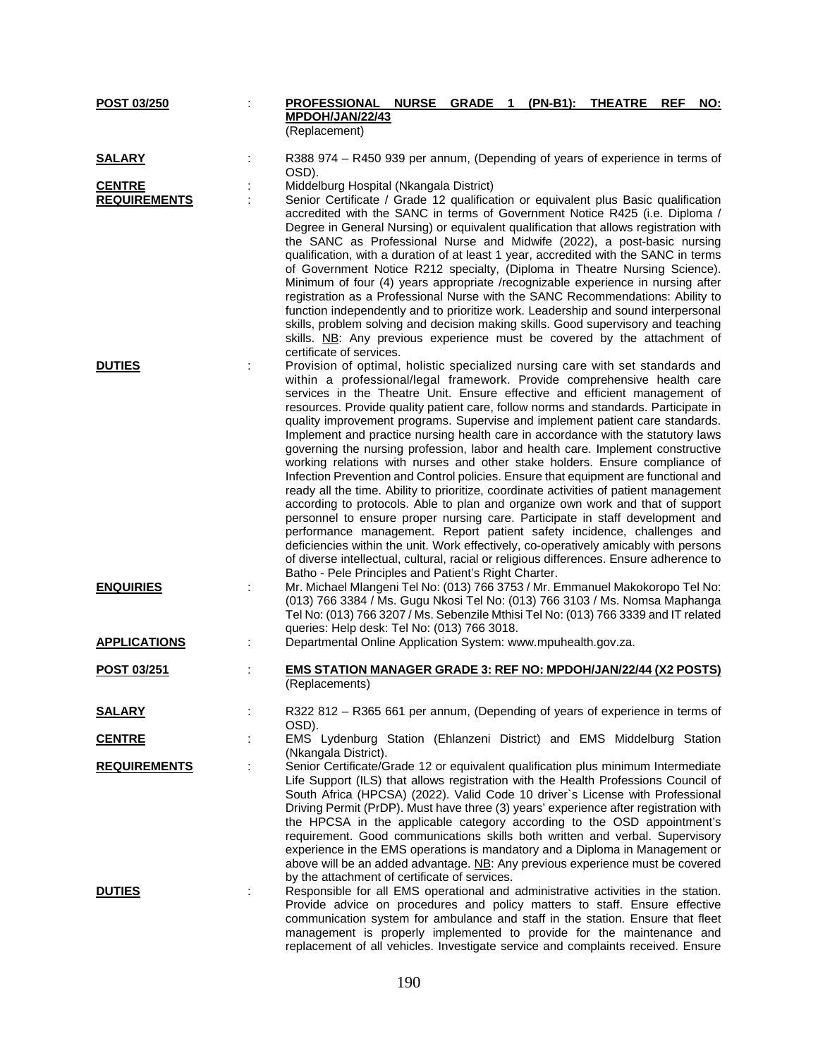| POST 03/250         | <b>PROFESSIONAL NURSE</b><br>MPDOH/JAN/22/43                                                                                                                                                                                                                                                                                                                                                                                                                                                                                                                                                                                                                                                                                                                                                                                                                                                                                                                                                                                                                                                                                                                                                                                                                   | GRADE <sub>1</sub> | (PN-B1): | <b>THEATRE</b> | <b>REF</b> | <u>NO:</u> |
|---------------------|----------------------------------------------------------------------------------------------------------------------------------------------------------------------------------------------------------------------------------------------------------------------------------------------------------------------------------------------------------------------------------------------------------------------------------------------------------------------------------------------------------------------------------------------------------------------------------------------------------------------------------------------------------------------------------------------------------------------------------------------------------------------------------------------------------------------------------------------------------------------------------------------------------------------------------------------------------------------------------------------------------------------------------------------------------------------------------------------------------------------------------------------------------------------------------------------------------------------------------------------------------------|--------------------|----------|----------------|------------|------------|
|                     | (Replacement)                                                                                                                                                                                                                                                                                                                                                                                                                                                                                                                                                                                                                                                                                                                                                                                                                                                                                                                                                                                                                                                                                                                                                                                                                                                  |                    |          |                |            |            |
| <b>SALARY</b>       | R388 974 - R450 939 per annum, (Depending of years of experience in terms of<br>OSD).                                                                                                                                                                                                                                                                                                                                                                                                                                                                                                                                                                                                                                                                                                                                                                                                                                                                                                                                                                                                                                                                                                                                                                          |                    |          |                |            |            |
| <b>CENTRE</b>       | Middelburg Hospital (Nkangala District)                                                                                                                                                                                                                                                                                                                                                                                                                                                                                                                                                                                                                                                                                                                                                                                                                                                                                                                                                                                                                                                                                                                                                                                                                        |                    |          |                |            |            |
| <b>REQUIREMENTS</b> | Senior Certificate / Grade 12 qualification or equivalent plus Basic qualification                                                                                                                                                                                                                                                                                                                                                                                                                                                                                                                                                                                                                                                                                                                                                                                                                                                                                                                                                                                                                                                                                                                                                                             |                    |          |                |            |            |
|                     | accredited with the SANC in terms of Government Notice R425 (i.e. Diploma /<br>Degree in General Nursing) or equivalent qualification that allows registration with<br>the SANC as Professional Nurse and Midwife (2022), a post-basic nursing<br>qualification, with a duration of at least 1 year, accredited with the SANC in terms<br>of Government Notice R212 specialty, (Diploma in Theatre Nursing Science).<br>Minimum of four (4) years appropriate /recognizable experience in nursing after                                                                                                                                                                                                                                                                                                                                                                                                                                                                                                                                                                                                                                                                                                                                                        |                    |          |                |            |            |
|                     | registration as a Professional Nurse with the SANC Recommendations: Ability to<br>function independently and to prioritize work. Leadership and sound interpersonal<br>skills, problem solving and decision making skills. Good supervisory and teaching<br>skills. NB: Any previous experience must be covered by the attachment of<br>certificate of services.                                                                                                                                                                                                                                                                                                                                                                                                                                                                                                                                                                                                                                                                                                                                                                                                                                                                                               |                    |          |                |            |            |
| <b>DUTIES</b>       | Provision of optimal, holistic specialized nursing care with set standards and                                                                                                                                                                                                                                                                                                                                                                                                                                                                                                                                                                                                                                                                                                                                                                                                                                                                                                                                                                                                                                                                                                                                                                                 |                    |          |                |            |            |
|                     | within a professional/legal framework. Provide comprehensive health care<br>services in the Theatre Unit. Ensure effective and efficient management of<br>resources. Provide quality patient care, follow norms and standards. Participate in<br>quality improvement programs. Supervise and implement patient care standards.<br>Implement and practice nursing health care in accordance with the statutory laws<br>governing the nursing profession, labor and health care. Implement constructive<br>working relations with nurses and other stake holders. Ensure compliance of<br>Infection Prevention and Control policies. Ensure that equipment are functional and<br>ready all the time. Ability to prioritize, coordinate activities of patient management<br>according to protocols. Able to plan and organize own work and that of support<br>personnel to ensure proper nursing care. Participate in staff development and<br>performance management. Report patient safety incidence, challenges and<br>deficiencies within the unit. Work effectively, co-operatively amicably with persons<br>of diverse intellectual, cultural, racial or religious differences. Ensure adherence to<br>Batho - Pele Principles and Patient's Right Charter. |                    |          |                |            |            |
| <b>ENQUIRIES</b>    | Mr. Michael Mlangeni Tel No: (013) 766 3753 / Mr. Emmanuel Makokoropo Tel No:<br>(013) 766 3384 / Ms. Gugu Nkosi Tel No: (013) 766 3103 / Ms. Nomsa Maphanga<br>Tel No: (013) 766 3207 / Ms. Sebenzile Mthisi Tel No: (013) 766 3339 and IT related<br>queries: Help desk: Tel No: (013) 766 3018.                                                                                                                                                                                                                                                                                                                                                                                                                                                                                                                                                                                                                                                                                                                                                                                                                                                                                                                                                             |                    |          |                |            |            |
| <b>APPLICATIONS</b> | Departmental Online Application System: www.mpuhealth.gov.za.                                                                                                                                                                                                                                                                                                                                                                                                                                                                                                                                                                                                                                                                                                                                                                                                                                                                                                                                                                                                                                                                                                                                                                                                  |                    |          |                |            |            |
| POST 03/251         | <b>EMS STATION MANAGER GRADE 3: REF NO: MPDOH/JAN/22/44 (X2 POSTS)</b><br>(Replacements)                                                                                                                                                                                                                                                                                                                                                                                                                                                                                                                                                                                                                                                                                                                                                                                                                                                                                                                                                                                                                                                                                                                                                                       |                    |          |                |            |            |
| <b>SALARY</b>       | R322 812 - R365 661 per annum, (Depending of years of experience in terms of<br>OSD).                                                                                                                                                                                                                                                                                                                                                                                                                                                                                                                                                                                                                                                                                                                                                                                                                                                                                                                                                                                                                                                                                                                                                                          |                    |          |                |            |            |
| <b>CENTRE</b>       | EMS Lydenburg Station (Ehlanzeni District) and EMS Middelburg Station<br>(Nkangala District).                                                                                                                                                                                                                                                                                                                                                                                                                                                                                                                                                                                                                                                                                                                                                                                                                                                                                                                                                                                                                                                                                                                                                                  |                    |          |                |            |            |
| <b>REQUIREMENTS</b> | Senior Certificate/Grade 12 or equivalent qualification plus minimum Intermediate                                                                                                                                                                                                                                                                                                                                                                                                                                                                                                                                                                                                                                                                                                                                                                                                                                                                                                                                                                                                                                                                                                                                                                              |                    |          |                |            |            |
|                     | Life Support (ILS) that allows registration with the Health Professions Council of<br>South Africa (HPCSA) (2022). Valid Code 10 driver's License with Professional<br>Driving Permit (PrDP). Must have three (3) years' experience after registration with<br>the HPCSA in the applicable category according to the OSD appointment's<br>requirement. Good communications skills both written and verbal. Supervisory<br>experience in the EMS operations is mandatory and a Diploma in Management or<br>above will be an added advantage. NB: Any previous experience must be covered<br>by the attachment of certificate of services.                                                                                                                                                                                                                                                                                                                                                                                                                                                                                                                                                                                                                       |                    |          |                |            |            |
| <b>DUTIES</b>       | Responsible for all EMS operational and administrative activities in the station.<br>Provide advice on procedures and policy matters to staff. Ensure effective<br>communication system for ambulance and staff in the station. Ensure that fleet<br>management is properly implemented to provide for the maintenance and<br>replacement of all vehicles. Investigate service and complaints received. Ensure                                                                                                                                                                                                                                                                                                                                                                                                                                                                                                                                                                                                                                                                                                                                                                                                                                                 |                    |          |                |            |            |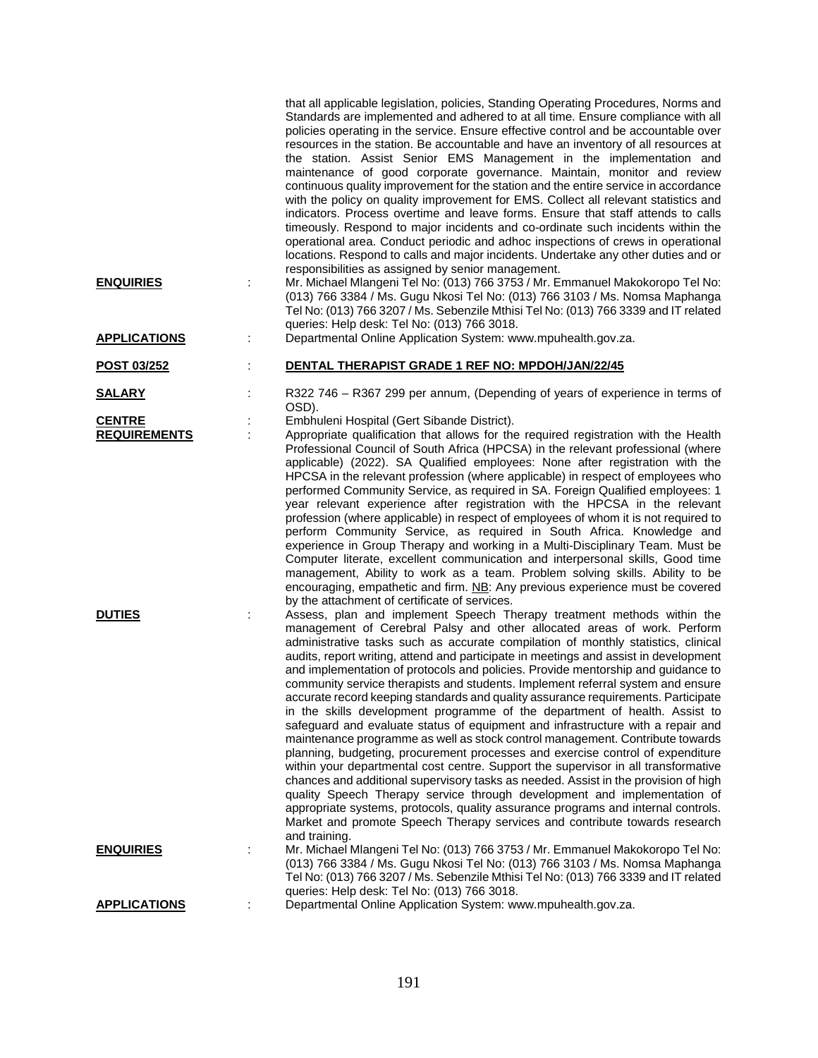| <b>ENQUIRIES</b><br><b>APPLICATIONS</b> | that all applicable legislation, policies, Standing Operating Procedures, Norms and<br>Standards are implemented and adhered to at all time. Ensure compliance with all<br>policies operating in the service. Ensure effective control and be accountable over<br>resources in the station. Be accountable and have an inventory of all resources at<br>the station. Assist Senior EMS Management in the implementation and<br>maintenance of good corporate governance. Maintain, monitor and review<br>continuous quality improvement for the station and the entire service in accordance<br>with the policy on quality improvement for EMS. Collect all relevant statistics and<br>indicators. Process overtime and leave forms. Ensure that staff attends to calls<br>timeously. Respond to major incidents and co-ordinate such incidents within the<br>operational area. Conduct periodic and adhoc inspections of crews in operational<br>locations. Respond to calls and major incidents. Undertake any other duties and or<br>responsibilities as assigned by senior management.<br>Mr. Michael Mlangeni Tel No: (013) 766 3753 / Mr. Emmanuel Makokoropo Tel No:<br>(013) 766 3384 / Ms. Gugu Nkosi Tel No: (013) 766 3103 / Ms. Nomsa Maphanga<br>Tel No: (013) 766 3207 / Ms. Sebenzile Mthisi Tel No: (013) 766 3339 and IT related<br>queries: Help desk: Tel No: (013) 766 3018.<br>Departmental Online Application System: www.mpuhealth.gov.za. |
|-----------------------------------------|-------------------------------------------------------------------------------------------------------------------------------------------------------------------------------------------------------------------------------------------------------------------------------------------------------------------------------------------------------------------------------------------------------------------------------------------------------------------------------------------------------------------------------------------------------------------------------------------------------------------------------------------------------------------------------------------------------------------------------------------------------------------------------------------------------------------------------------------------------------------------------------------------------------------------------------------------------------------------------------------------------------------------------------------------------------------------------------------------------------------------------------------------------------------------------------------------------------------------------------------------------------------------------------------------------------------------------------------------------------------------------------------------------------------------------------------------------------------|
| POST 03/252                             | DENTAL THERAPIST GRADE 1 REF NO: MPDOH/JAN/22/45                                                                                                                                                                                                                                                                                                                                                                                                                                                                                                                                                                                                                                                                                                                                                                                                                                                                                                                                                                                                                                                                                                                                                                                                                                                                                                                                                                                                                  |
|                                         |                                                                                                                                                                                                                                                                                                                                                                                                                                                                                                                                                                                                                                                                                                                                                                                                                                                                                                                                                                                                                                                                                                                                                                                                                                                                                                                                                                                                                                                                   |
| <b>SALARY</b>                           | R322 746 - R367 299 per annum, (Depending of years of experience in terms of<br>OSD).                                                                                                                                                                                                                                                                                                                                                                                                                                                                                                                                                                                                                                                                                                                                                                                                                                                                                                                                                                                                                                                                                                                                                                                                                                                                                                                                                                             |
| <b>CENTRE</b><br><b>REQUIREMENTS</b>    | Embhuleni Hospital (Gert Sibande District).<br>Appropriate qualification that allows for the required registration with the Health                                                                                                                                                                                                                                                                                                                                                                                                                                                                                                                                                                                                                                                                                                                                                                                                                                                                                                                                                                                                                                                                                                                                                                                                                                                                                                                                |
|                                         | Professional Council of South Africa (HPCSA) in the relevant professional (where<br>applicable) (2022). SA Qualified employees: None after registration with the<br>HPCSA in the relevant profession (where applicable) in respect of employees who<br>performed Community Service, as required in SA. Foreign Qualified employees: 1<br>year relevant experience after registration with the HPCSA in the relevant<br>profession (where applicable) in respect of employees of whom it is not required to<br>perform Community Service, as required in South Africa. Knowledge and<br>experience in Group Therapy and working in a Multi-Disciplinary Team. Must be<br>Computer literate, excellent communication and interpersonal skills, Good time<br>management, Ability to work as a team. Problem solving skills. Ability to be<br>encouraging, empathetic and firm. NB: Any previous experience must be covered<br>by the attachment of certificate of services.                                                                                                                                                                                                                                                                                                                                                                                                                                                                                          |
| <b>DUTIES</b>                           | Assess, plan and implement Speech Therapy treatment methods within the<br>management of Cerebral Palsy and other allocated areas of work. Perform<br>administrative tasks such as accurate compilation of monthly statistics, clinical<br>audits, report writing, attend and participate in meetings and assist in development<br>and implementation of protocols and policies. Provide mentorship and guidance to<br>community service therapists and students. Implement referral system and ensure<br>accurate record keeping standards and quality assurance requirements. Participate<br>in the skills development programme of the department of health. Assist to<br>safeguard and evaluate status of equipment and infrastructure with a repair and<br>maintenance programme as well as stock control management. Contribute towards<br>planning, budgeting, procurement processes and exercise control of expenditure<br>within your departmental cost centre. Support the supervisor in all transformative<br>chances and additional supervisory tasks as needed. Assist in the provision of high<br>quality Speech Therapy service through development and implementation of<br>appropriate systems, protocols, quality assurance programs and internal controls.<br>Market and promote Speech Therapy services and contribute towards research                                                                                                        |
| <b>ENQUIRIES</b>                        | and training.<br>Mr. Michael Mlangeni Tel No: (013) 766 3753 / Mr. Emmanuel Makokoropo Tel No:<br>(013) 766 3384 / Ms. Gugu Nkosi Tel No: (013) 766 3103 / Ms. Nomsa Maphanga<br>Tel No: (013) 766 3207 / Ms. Sebenzile Mthisi Tel No: (013) 766 3339 and IT related                                                                                                                                                                                                                                                                                                                                                                                                                                                                                                                                                                                                                                                                                                                                                                                                                                                                                                                                                                                                                                                                                                                                                                                              |
| <b>APPLICATIONS</b>                     | queries: Help desk: Tel No: (013) 766 3018.<br>Departmental Online Application System: www.mpuhealth.gov.za.                                                                                                                                                                                                                                                                                                                                                                                                                                                                                                                                                                                                                                                                                                                                                                                                                                                                                                                                                                                                                                                                                                                                                                                                                                                                                                                                                      |
|                                         |                                                                                                                                                                                                                                                                                                                                                                                                                                                                                                                                                                                                                                                                                                                                                                                                                                                                                                                                                                                                                                                                                                                                                                                                                                                                                                                                                                                                                                                                   |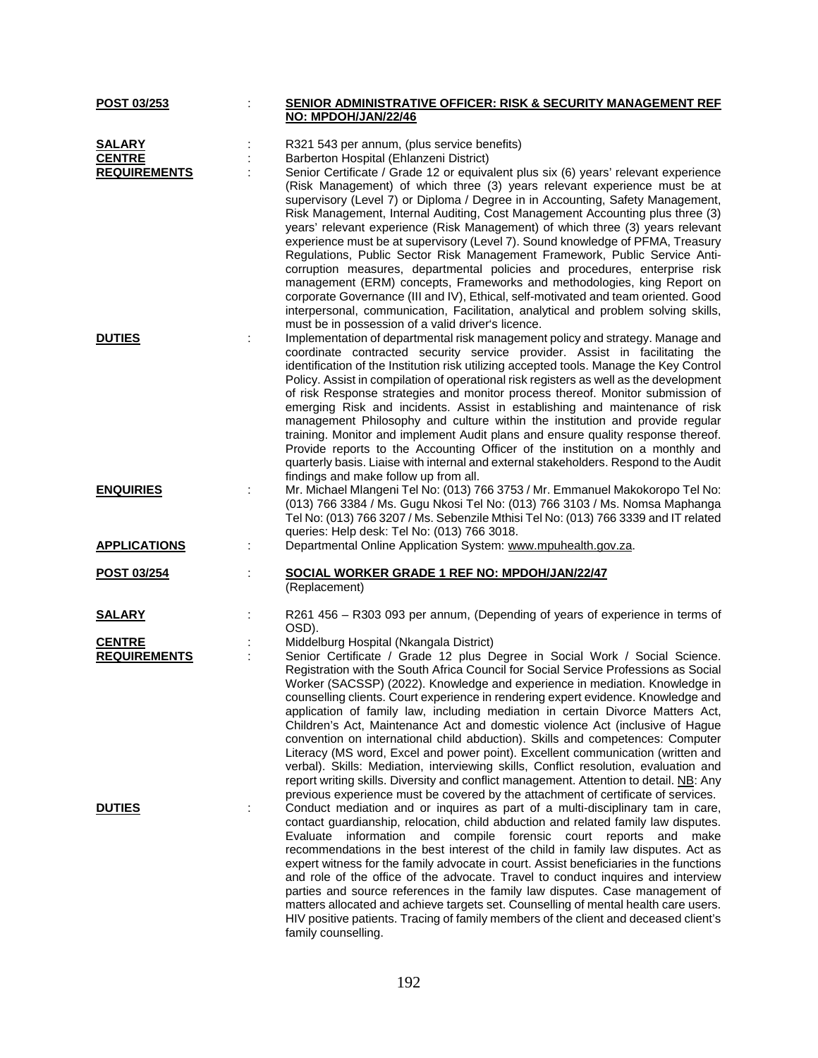| POST 03/253         | <u>SENIOR ADMINISTRATIVE OFFICER: RISK &amp; SECURITY MANAGEMENT REF</u>                                                                                                                                                                                                                                                                                                                                                                                                                                                                                                                                                                                                                |
|---------------------|-----------------------------------------------------------------------------------------------------------------------------------------------------------------------------------------------------------------------------------------------------------------------------------------------------------------------------------------------------------------------------------------------------------------------------------------------------------------------------------------------------------------------------------------------------------------------------------------------------------------------------------------------------------------------------------------|
|                     | NO: MPDOH/JAN/22/46                                                                                                                                                                                                                                                                                                                                                                                                                                                                                                                                                                                                                                                                     |
| <b>SALARY</b>       | R321 543 per annum, (plus service benefits)                                                                                                                                                                                                                                                                                                                                                                                                                                                                                                                                                                                                                                             |
| <b>CENTRE</b>       | Barberton Hospital (Ehlanzeni District)                                                                                                                                                                                                                                                                                                                                                                                                                                                                                                                                                                                                                                                 |
| <b>REQUIREMENTS</b> | Senior Certificate / Grade 12 or equivalent plus six (6) years' relevant experience<br>(Risk Management) of which three (3) years relevant experience must be at<br>supervisory (Level 7) or Diploma / Degree in in Accounting, Safety Management,<br>Risk Management, Internal Auditing, Cost Management Accounting plus three (3)<br>years' relevant experience (Risk Management) of which three (3) years relevant<br>experience must be at supervisory (Level 7). Sound knowledge of PFMA, Treasury                                                                                                                                                                                 |
|                     | Regulations, Public Sector Risk Management Framework, Public Service Anti-<br>corruption measures, departmental policies and procedures, enterprise risk<br>management (ERM) concepts, Frameworks and methodologies, king Report on<br>corporate Governance (III and IV), Ethical, self-motivated and team oriented. Good<br>interpersonal, communication, Facilitation, analytical and problem solving skills,<br>must be in possession of a valid driver's licence.                                                                                                                                                                                                                   |
| <b>DUTIES</b>       | Implementation of departmental risk management policy and strategy. Manage and<br>coordinate contracted security service provider. Assist in facilitating the<br>identification of the Institution risk utilizing accepted tools. Manage the Key Control<br>Policy. Assist in compilation of operational risk registers as well as the development<br>of risk Response strategies and monitor process thereof. Monitor submission of<br>emerging Risk and incidents. Assist in establishing and maintenance of risk                                                                                                                                                                     |
|                     | management Philosophy and culture within the institution and provide regular<br>training. Monitor and implement Audit plans and ensure quality response thereof.<br>Provide reports to the Accounting Officer of the institution on a monthly and<br>quarterly basis. Liaise with internal and external stakeholders. Respond to the Audit<br>findings and make follow up from all.                                                                                                                                                                                                                                                                                                     |
| <b>ENQUIRIES</b>    | Mr. Michael Mlangeni Tel No: (013) 766 3753 / Mr. Emmanuel Makokoropo Tel No:<br>(013) 766 3384 / Ms. Gugu Nkosi Tel No: (013) 766 3103 / Ms. Nomsa Maphanga<br>Tel No: (013) 766 3207 / Ms. Sebenzile Mthisi Tel No: (013) 766 3339 and IT related<br>queries: Help desk: Tel No: (013) 766 3018.                                                                                                                                                                                                                                                                                                                                                                                      |
| <b>APPLICATIONS</b> | Departmental Online Application System: www.mpuhealth.gov.za.                                                                                                                                                                                                                                                                                                                                                                                                                                                                                                                                                                                                                           |
| POST 03/254         | SOCIAL WORKER GRADE 1 REF NO: MPDOH/JAN/22/47<br>(Replacement)                                                                                                                                                                                                                                                                                                                                                                                                                                                                                                                                                                                                                          |
| <u>SALARY</u>       | R261 456 - R303 093 per annum, (Depending of years of experience in terms of<br>OSD).                                                                                                                                                                                                                                                                                                                                                                                                                                                                                                                                                                                                   |
| <b>CENTRE</b>       | Middelburg Hospital (Nkangala District)                                                                                                                                                                                                                                                                                                                                                                                                                                                                                                                                                                                                                                                 |
| <b>REQUIREMENTS</b> | Senior Certificate / Grade 12 plus Degree in Social Work / Social Science.                                                                                                                                                                                                                                                                                                                                                                                                                                                                                                                                                                                                              |
|                     | Registration with the South Africa Council for Social Service Professions as Social<br>Worker (SACSSP) (2022). Knowledge and experience in mediation. Knowledge in<br>counselling clients. Court experience in rendering expert evidence. Knowledge and<br>application of family law, including mediation in certain Divorce Matters Act,<br>Children's Act, Maintenance Act and domestic violence Act (inclusive of Hague<br>convention on international child abduction). Skills and competences: Computer<br>Literacy (MS word, Excel and power point). Excellent communication (written and<br>verbal). Skills: Mediation, interviewing skills, Conflict resolution, evaluation and |
|                     | report writing skills. Diversity and conflict management. Attention to detail. NB: Any                                                                                                                                                                                                                                                                                                                                                                                                                                                                                                                                                                                                  |
| <b>DUTIES</b>       | previous experience must be covered by the attachment of certificate of services.<br>Conduct mediation and or inquires as part of a multi-disciplinary tam in care,<br>contact guardianship, relocation, child abduction and related family law disputes.<br>Evaluate information and compile forensic court reports and make<br>recommendations in the best interest of the child in family law disputes. Act as<br>expert witness for the family advocate in court. Assist beneficiaries in the functions<br>and role of the office of the advocate. Travel to conduct inquires and interview                                                                                         |
|                     | parties and source references in the family law disputes. Case management of<br>matters allocated and achieve targets set. Counselling of mental health care users.<br>HIV positive patients. Tracing of family members of the client and deceased client's<br>family counselling.                                                                                                                                                                                                                                                                                                                                                                                                      |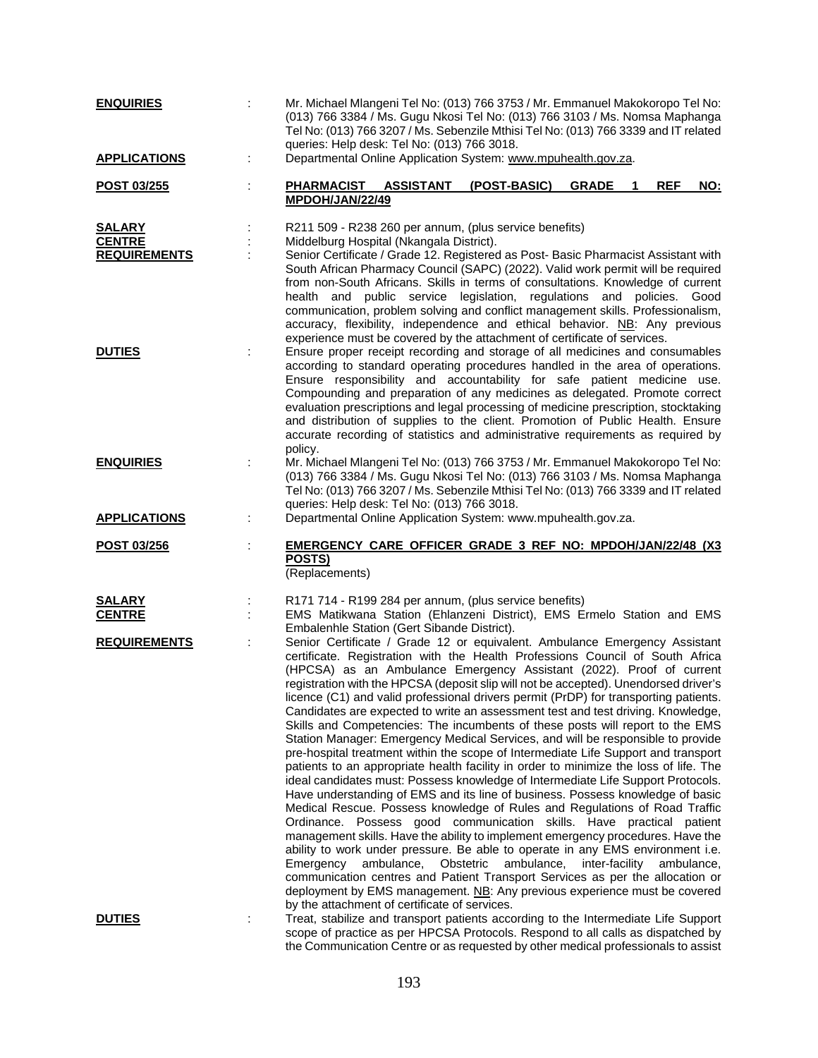| <b>ENQUIRIES</b>                                      | Mr. Michael Mlangeni Tel No: (013) 766 3753 / Mr. Emmanuel Makokoropo Tel No:<br>(013) 766 3384 / Ms. Gugu Nkosi Tel No: (013) 766 3103 / Ms. Nomsa Maphanga<br>Tel No: (013) 766 3207 / Ms. Sebenzile Mthisi Tel No: (013) 766 3339 and IT related<br>queries: Help desk: Tel No: (013) 766 3018.                                                                                                                                                                                                                                                                                                                                                                                                                                                                                                                                                                                                                                                                                                                                                                                                                                                                                                                                                                                                                                                                                                                                                                                                                                                                                                                                                                                                     |
|-------------------------------------------------------|--------------------------------------------------------------------------------------------------------------------------------------------------------------------------------------------------------------------------------------------------------------------------------------------------------------------------------------------------------------------------------------------------------------------------------------------------------------------------------------------------------------------------------------------------------------------------------------------------------------------------------------------------------------------------------------------------------------------------------------------------------------------------------------------------------------------------------------------------------------------------------------------------------------------------------------------------------------------------------------------------------------------------------------------------------------------------------------------------------------------------------------------------------------------------------------------------------------------------------------------------------------------------------------------------------------------------------------------------------------------------------------------------------------------------------------------------------------------------------------------------------------------------------------------------------------------------------------------------------------------------------------------------------------------------------------------------------|
| <b>APPLICATIONS</b>                                   | Departmental Online Application System: www.mpuhealth.gov.za.                                                                                                                                                                                                                                                                                                                                                                                                                                                                                                                                                                                                                                                                                                                                                                                                                                                                                                                                                                                                                                                                                                                                                                                                                                                                                                                                                                                                                                                                                                                                                                                                                                          |
| POST 03/255                                           | PHARMACIST ASSISTANT<br>(POST-BASIC)<br><b>GRADE</b><br><b>REF</b><br><u>NO:</u><br>1<br>MPDOH/JAN/22/49                                                                                                                                                                                                                                                                                                                                                                                                                                                                                                                                                                                                                                                                                                                                                                                                                                                                                                                                                                                                                                                                                                                                                                                                                                                                                                                                                                                                                                                                                                                                                                                               |
| <b>SALARY</b><br><b>CENTRE</b><br><b>REQUIREMENTS</b> | R211 509 - R238 260 per annum, (plus service benefits)<br>Middelburg Hospital (Nkangala District).<br>Senior Certificate / Grade 12. Registered as Post- Basic Pharmacist Assistant with<br>South African Pharmacy Council (SAPC) (2022). Valid work permit will be required<br>from non-South Africans. Skills in terms of consultations. Knowledge of current<br>health and public service legislation, regulations and policies. Good<br>communication, problem solving and conflict management skills. Professionalism,<br>accuracy, flexibility, independence and ethical behavior. NB: Any previous<br>experience must be covered by the attachment of certificate of services.                                                                                                                                                                                                                                                                                                                                                                                                                                                                                                                                                                                                                                                                                                                                                                                                                                                                                                                                                                                                                  |
| <b>DUTIES</b>                                         | Ensure proper receipt recording and storage of all medicines and consumables<br>according to standard operating procedures handled in the area of operations.<br>Ensure responsibility and accountability for safe patient medicine use.<br>Compounding and preparation of any medicines as delegated. Promote correct<br>evaluation prescriptions and legal processing of medicine prescription, stocktaking<br>and distribution of supplies to the client. Promotion of Public Health. Ensure<br>accurate recording of statistics and administrative requirements as required by<br>policy.                                                                                                                                                                                                                                                                                                                                                                                                                                                                                                                                                                                                                                                                                                                                                                                                                                                                                                                                                                                                                                                                                                          |
| <b>ENQUIRIES</b>                                      | Mr. Michael Mlangeni Tel No: (013) 766 3753 / Mr. Emmanuel Makokoropo Tel No:<br>(013) 766 3384 / Ms. Gugu Nkosi Tel No: (013) 766 3103 / Ms. Nomsa Maphanga<br>Tel No: (013) 766 3207 / Ms. Sebenzile Mthisi Tel No: (013) 766 3339 and IT related<br>queries: Help desk: Tel No: (013) 766 3018.                                                                                                                                                                                                                                                                                                                                                                                                                                                                                                                                                                                                                                                                                                                                                                                                                                                                                                                                                                                                                                                                                                                                                                                                                                                                                                                                                                                                     |
| <b>APPLICATIONS</b>                                   | Departmental Online Application System: www.mpuhealth.gov.za.                                                                                                                                                                                                                                                                                                                                                                                                                                                                                                                                                                                                                                                                                                                                                                                                                                                                                                                                                                                                                                                                                                                                                                                                                                                                                                                                                                                                                                                                                                                                                                                                                                          |
| POST 03/256                                           | EMERGENCY CARE OFFICER GRADE 3 REF NO: MPDOH/JAN/22/48 (X3<br>POSTS)<br>(Replacements)                                                                                                                                                                                                                                                                                                                                                                                                                                                                                                                                                                                                                                                                                                                                                                                                                                                                                                                                                                                                                                                                                                                                                                                                                                                                                                                                                                                                                                                                                                                                                                                                                 |
| <b>SALARY</b><br><b>CENTRE</b>                        | R171 714 - R199 284 per annum, (plus service benefits)<br>EMS Matikwana Station (Ehlanzeni District), EMS Ermelo Station and EMS                                                                                                                                                                                                                                                                                                                                                                                                                                                                                                                                                                                                                                                                                                                                                                                                                                                                                                                                                                                                                                                                                                                                                                                                                                                                                                                                                                                                                                                                                                                                                                       |
| <b>REQUIREMENTS</b>                                   | Embalenhle Station (Gert Sibande District).<br>Senior Certificate / Grade 12 or equivalent. Ambulance Emergency Assistant<br>certificate. Registration with the Health Professions Council of South Africa<br>(HPCSA) as an Ambulance Emergency Assistant (2022). Proof of current<br>registration with the HPCSA (deposit slip will not be accepted). Unendorsed driver's<br>licence (C1) and valid professional drivers permit (PrDP) for transporting patients.<br>Candidates are expected to write an assessment test and test driving. Knowledge,<br>Skills and Competencies: The incumbents of these posts will report to the EMS<br>Station Manager: Emergency Medical Services, and will be responsible to provide<br>pre-hospital treatment within the scope of Intermediate Life Support and transport<br>patients to an appropriate health facility in order to minimize the loss of life. The<br>ideal candidates must: Possess knowledge of Intermediate Life Support Protocols.<br>Have understanding of EMS and its line of business. Possess knowledge of basic<br>Medical Rescue. Possess knowledge of Rules and Regulations of Road Traffic<br>Ordinance. Possess good communication skills. Have practical patient<br>management skills. Have the ability to implement emergency procedures. Have the<br>ability to work under pressure. Be able to operate in any EMS environment i.e.<br>Emergency<br>ambulance, Obstetric<br>ambulance, inter-facility ambulance,<br>communication centres and Patient Transport Services as per the allocation or<br>deployment by EMS management. NB: Any previous experience must be covered<br>by the attachment of certificate of services. |
| <b>DUTIES</b>                                         | Treat, stabilize and transport patients according to the Intermediate Life Support<br>scope of practice as per HPCSA Protocols. Respond to all calls as dispatched by                                                                                                                                                                                                                                                                                                                                                                                                                                                                                                                                                                                                                                                                                                                                                                                                                                                                                                                                                                                                                                                                                                                                                                                                                                                                                                                                                                                                                                                                                                                                  |

the Communication Centre or as requested by other medical professionals to assist